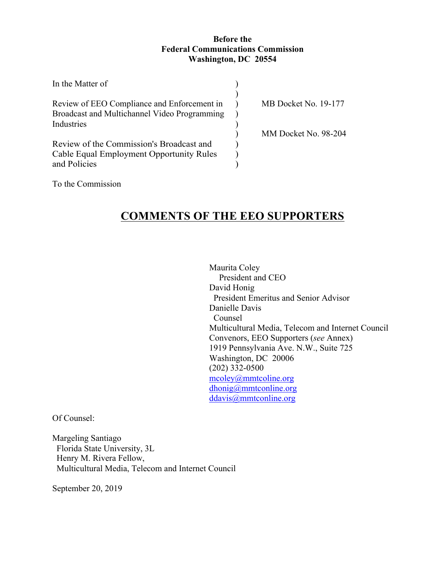### **Before the Federal Communications Commission Washington, DC 20554**

| In the Matter of                             |                      |
|----------------------------------------------|----------------------|
| Review of EEO Compliance and Enforcement in  | MB Docket No. 19-177 |
| Broadcast and Multichannel Video Programming |                      |
| Industries                                   |                      |
|                                              | MM Docket No. 98-204 |
| Review of the Commission's Broadcast and     |                      |
| Cable Equal Employment Opportunity Rules     |                      |
| and Policies                                 |                      |
|                                              |                      |

To the Commission

# **COMMENTS OF THE EEO SUPPORTERS**

Maurita Coley President and CEO David Honig President Emeritus and Senior Advisor Danielle Davis Counsel Multicultural Media, Telecom and Internet Council Convenors, EEO Supporters (*see* Annex) 1919 Pennsylvania Ave. N.W., Suite 725 Washington, DC 20006 (202) 332-0500 mcoley@mmtcoline.org dhonig@mmtconline.org ddavis@mmtconline.org

Of Counsel:

Margeling Santiago Florida State University, 3L Henry M. Rivera Fellow, Multicultural Media, Telecom and Internet Council

September 20, 2019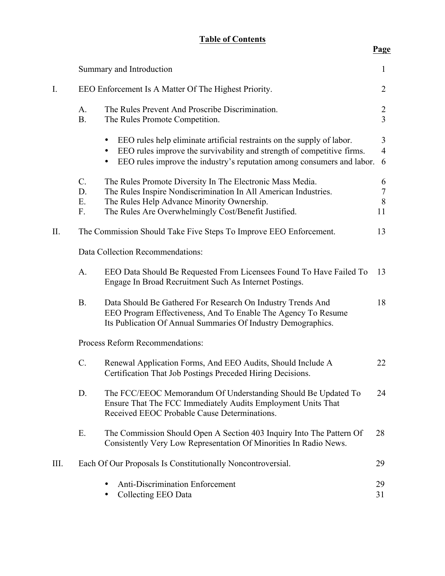# **Table of Contents**

|                                 |                               | Summary and Introduction                                                                                                                                                                                                                | $\mathbf{1}$                       |  |  |  |  |  |
|---------------------------------|-------------------------------|-----------------------------------------------------------------------------------------------------------------------------------------------------------------------------------------------------------------------------------------|------------------------------------|--|--|--|--|--|
| I.                              |                               | EEO Enforcement Is A Matter Of The Highest Priority.                                                                                                                                                                                    | $\overline{2}$                     |  |  |  |  |  |
|                                 | A.<br><b>B.</b>               | The Rules Prevent And Proscribe Discrimination.<br>The Rules Promote Competition.                                                                                                                                                       | $\overline{c}$<br>$\overline{3}$   |  |  |  |  |  |
|                                 |                               | EEO rules help eliminate artificial restraints on the supply of labor.<br>EEO rules improve the survivability and strength of competitive firms.<br>EEO rules improve the industry's reputation among consumers and labor.<br>$\bullet$ | 3<br>$\overline{4}$<br>6           |  |  |  |  |  |
|                                 | $C_{\cdot}$<br>D.<br>Ε.<br>F. | The Rules Promote Diversity In The Electronic Mass Media.<br>The Rules Inspire Nondiscrimination In All American Industries.<br>The Rules Help Advance Minority Ownership.<br>The Rules Are Overwhelmingly Cost/Benefit Justified.      | 6<br>$\overline{7}$<br>$8\,$<br>11 |  |  |  |  |  |
| II.                             |                               | The Commission Should Take Five Steps To Improve EEO Enforcement.                                                                                                                                                                       | 13                                 |  |  |  |  |  |
|                                 |                               | Data Collection Recommendations:                                                                                                                                                                                                        |                                    |  |  |  |  |  |
|                                 | A.                            | EEO Data Should Be Requested From Licensees Found To Have Failed To<br>Engage In Broad Recruitment Such As Internet Postings.                                                                                                           | 13                                 |  |  |  |  |  |
|                                 | <b>B.</b>                     | Data Should Be Gathered For Research On Industry Trends And<br>EEO Program Effectiveness, And To Enable The Agency To Resume<br>Its Publication Of Annual Summaries Of Industry Demographics.                                           | 18                                 |  |  |  |  |  |
| Process Reform Recommendations: |                               |                                                                                                                                                                                                                                         |                                    |  |  |  |  |  |
|                                 | $C$ .                         | Renewal Application Forms, And EEO Audits, Should Include A<br>Certification That Job Postings Preceded Hiring Decisions.                                                                                                               | 22                                 |  |  |  |  |  |
|                                 | D.                            | The FCC/EEOC Memorandum Of Understanding Should Be Updated To<br>Ensure That The FCC Immediately Audits Employment Units That<br>Received EEOC Probable Cause Determinations.                                                           | 24                                 |  |  |  |  |  |
|                                 | Ε.                            | The Commission Should Open A Section 403 Inquiry Into The Pattern Of<br>Consistently Very Low Representation Of Minorities In Radio News.                                                                                               | 28                                 |  |  |  |  |  |
| Ш.                              |                               | Each Of Our Proposals Is Constitutionally Noncontroversial.                                                                                                                                                                             | 29                                 |  |  |  |  |  |
|                                 |                               | <b>Anti-Discrimination Enforcement</b><br>$\bullet$<br>Collecting EEO Data                                                                                                                                                              | 29<br>31                           |  |  |  |  |  |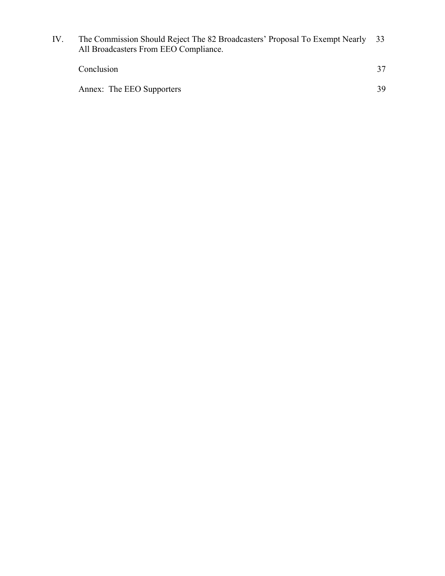| IV. | The Commission Should Reject The 82 Broadcasters' Proposal To Exempt Nearly 33 |  |
|-----|--------------------------------------------------------------------------------|--|
|     | All Broadcasters From EEO Compliance.                                          |  |

| Conclusion                | 37 |
|---------------------------|----|
| Annex: The EEO Supporters |    |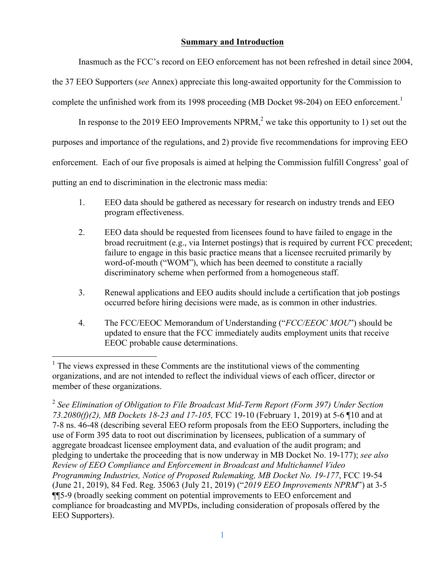#### **Summary and Introduction**

Inasmuch as the FCC's record on EEO enforcement has not been refreshed in detail since 2004,

the 37 EEO Supporters (*see* Annex) appreciate this long-awaited opportunity for the Commission to

complete the unfinished work from its 1998 proceeding (MB Docket 98-204) on EEO enforcement.<sup>1</sup>

In response to the 2019 EEO Improvements NPRM,<sup>2</sup> we take this opportunity to 1) set out the purposes and importance of the regulations, and 2) provide five recommendations for improving EEO enforcement. Each of our five proposals is aimed at helping the Commission fulfill Congress' goal of putting an end to discrimination in the electronic mass media:

- 1. EEO data should be gathered as necessary for research on industry trends and EEO program effectiveness.
- 2. EEO data should be requested from licensees found to have failed to engage in the broad recruitment (e.g., via Internet postings) that is required by current FCC precedent; failure to engage in this basic practice means that a licensee recruited primarily by word-of-mouth ("WOM"), which has been deemed to constitute a racially discriminatory scheme when performed from a homogeneous staff.
- 3. Renewal applications and EEO audits should include a certification that job postings occurred before hiring decisions were made, as is common in other industries.
- 4. The FCC/EEOC Memorandum of Understanding ("*FCC/EEOC MOU*") should be updated to ensure that the FCC immediately audits employment units that receive EEOC probable cause determinations.

 $<sup>1</sup>$  The views expressed in these Comments are the institutional views of the commenting</sup> organizations, and are not intended to reflect the individual views of each officer, director or member of these organizations.

<sup>2</sup> *See Elimination of Obligation to File Broadcast Mid-Term Report (Form 397) Under Section 73.2080(f)(2), MB Dockets 18-23 and 17-105,* FCC 19-10 (February 1, 2019) at 5-6 ¶10 and at 7-8 ns. 46-48 (describing several EEO reform proposals from the EEO Supporters, including the use of Form 395 data to root out discrimination by licensees, publication of a summary of aggregate broadcast licensee employment data, and evaluation of the audit program; and pledging to undertake the proceeding that is now underway in MB Docket No. 19-177); *see also Review of EEO Compliance and Enforcement in Broadcast and Multichannel Video Programming Industries, Notice of Proposed Rulemaking, MB Docket No. 19-177*, FCC 19-54 (June 21, 2019), 84 Fed. Reg. 35063 (July 21, 2019) ("*2019 EEO Improvements NPRM*") at 3-5 ¶¶5-9 (broadly seeking comment on potential improvements to EEO enforcement and compliance for broadcasting and MVPDs, including consideration of proposals offered by the EEO Supporters).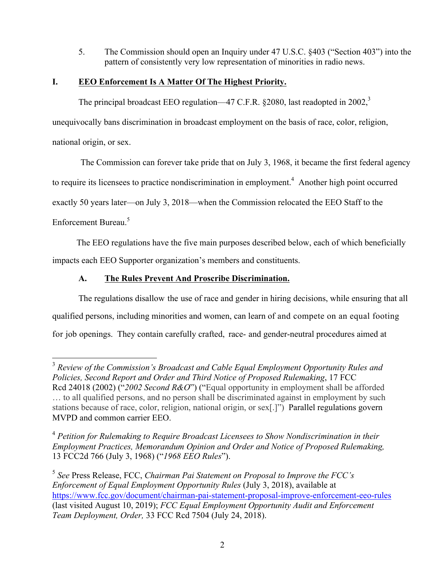5. The Commission should open an Inquiry under 47 U.S.C. §403 ("Section 403") into the pattern of consistently very low representation of minorities in radio news.

## **I. EEO Enforcement Is A Matter Of The Highest Priority.**

The principal broadcast EEO regulation—47 C.F.R. §2080, last readopted in 2002,<sup>3</sup>

unequivocally bans discrimination in broadcast employment on the basis of race, color, religion,

national origin, or sex.

The Commission can forever take pride that on July 3, 1968, it became the first federal agency

to require its licensees to practice nondiscrimination in employment.<sup>4</sup> Another high point occurred

exactly 50 years later—on July 3, 2018—when the Commission relocated the EEO Staff to the

Enforcement Bureau.<sup>5</sup>

The EEO regulations have the five main purposes described below, each of which beneficially impacts each EEO Supporter organization's members and constituents.

# **A. The Rules Prevent And Proscribe Discrimination.**

The regulations disallow the use of race and gender in hiring decisions, while ensuring that all qualified persons, including minorities and women, can learn of and compete on an equal footing for job openings. They contain carefully crafted, race- and gender-neutral procedures aimed at

 <sup>3</sup> *Review of the Commission's Broadcast and Cable Equal Employment Opportunity Rules and Policies, Second Report and Order and Third Notice of Proposed Rulemaking*, 17 FCC Rcd 24018 (2002) ("*2002 Second R&O*") ("Equal opportunity in employment shall be afforded … to all qualified persons, and no person shall be discriminated against in employment by such stations because of race, color, religion, national origin, or sex[.]") Parallel regulations govern MVPD and common carrier EEO.

<sup>4</sup> *Petition for Rulemaking to Require Broadcast Licensees to Show Nondiscrimination in their Employment Practices, Memorandum Opinion and Order and Notice of Proposed Rulemaking,* 13 FCC2d 766 (July 3, 1968) ("*1968 EEO Rules*").

<sup>5</sup> *See* Press Release, FCC, *Chairman Pai Statement on Proposal to Improve the FCC's Enforcement of Equal Employment Opportunity Rules* (July 3, 2018), available at https://www.fcc.gov/document/chairman-pai-statement-proposal-improve-enforcement-eeo-rules (last visited August 10, 2019); *FCC Equal Employment Opportunity Audit and Enforcement Team Deployment, Order,* 33 FCC Rcd 7504 (July 24, 2018).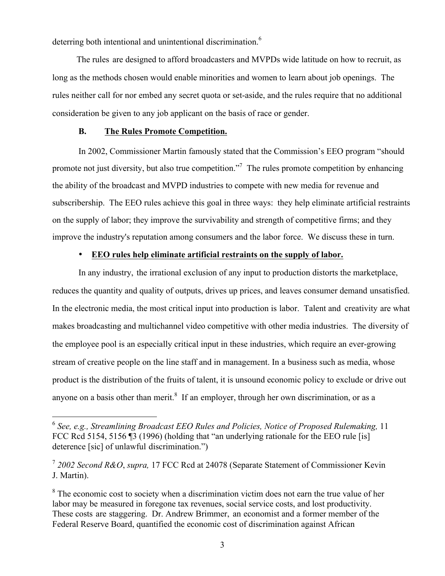deterring both intentional and unintentional discrimination.<sup>6</sup>

The rules are designed to afford broadcasters and MVPDs wide latitude on how to recruit, as long as the methods chosen would enable minorities and women to learn about job openings. The rules neither call for nor embed any secret quota or set-aside, and the rules require that no additional consideration be given to any job applicant on the basis of race or gender.

#### **B. The Rules Promote Competition.**

In 2002, Commissioner Martin famously stated that the Commission's EEO program "should promote not just diversity, but also true competition.<sup>77</sup> The rules promote competition by enhancing the ability of the broadcast and MVPD industries to compete with new media for revenue and subscribership.The EEO rules achieve this goal in three ways: they help eliminate artificial restraints on the supply of labor; they improve the survivability and strength of competitive firms; and they improve the industry's reputation among consumers and the labor force. We discuss these in turn.

#### • **EEO rules help eliminate artificial restraints on the supply of labor.**

In any industry, the irrational exclusion of any input to production distorts the marketplace, reduces the quantity and quality of outputs, drives up prices, and leaves consumer demand unsatisfied. In the electronic media, the most critical input into production is labor. Talent and creativity are what makes broadcasting and multichannel video competitive with other media industries. The diversity of the employee pool is an especially critical input in these industries, which require an ever-growing stream of creative people on the line staff and in management. In a business such as media, whose product is the distribution of the fruits of talent, it is unsound economic policy to exclude or drive out anyone on a basis other than merit. $8$  If an employer, through her own discrimination, or as a

 <sup>6</sup> *See, e.g., Streamlining Broadcast EEO Rules and Policies, Notice of Proposed Rulemaking,* <sup>11</sup> FCC Rcd 5154, 5156 [3] (1996) (holding that "an underlying rationale for the EEO rule [is] deterence [sic] of unlawful discrimination.")

<sup>7</sup> *2002 Second R&O*, *supra,* 17 FCC Rcd at 24078 (Separate Statement of Commissioner Kevin J. Martin).

<sup>&</sup>lt;sup>8</sup> The economic cost to society when a discrimination victim does not earn the true value of her labor may be measured in foregone tax revenues, social service costs, and lost productivity. These costs are staggering. Dr. Andrew Brimmer, an economist and a former member of the Federal Reserve Board, quantified the economic cost of discrimination against African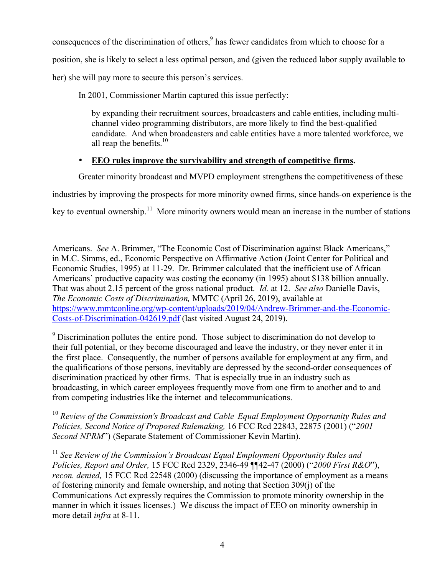consequences of the discrimination of others,<sup>9</sup> has fewer candidates from which to choose for a position, she is likely to select a less optimal person, and (given the reduced labor supply available to her) she will pay more to secure this person's services.

In 2001, Commissioner Martin captured this issue perfectly:

 $\overline{a}$ 

by expanding their recruitment sources, broadcasters and cable entities, including multichannel video programming distributors, are more likely to find the best-qualified candidate. And when broadcasters and cable entities have a more talented workforce, we all reap the benefits. $10<sup>10</sup>$ 

## • **EEO rules improve the survivability and strength of competitive firms.**

Greater minority broadcast and MVPD employment strengthens the competitiveness of these

industries by improving the prospects for more minority owned firms, since hands-on experience is the

key to eventual ownership.<sup>11</sup> More minority owners would mean an increase in the number of stations

Americans. *See* A. Brimmer, "The Economic Cost of Discrimination against Black Americans," in M.C. Simms, ed., Economic Perspective on Affirmative Action (Joint Center for Political and Economic Studies, 1995) at 11-29. Dr. Brimmer calculated that the inefficient use of African Americans' productive capacity was costing the economy (in 1995) about \$138 billion annually. That was about 2.15 percent of the gross national product. *Id.* at 12. *See also* Danielle Davis, *The Economic Costs of Discrimination,* MMTC (April 26, 2019), available at https://www.mmtconline.org/wp-content/uploads/2019/04/Andrew-Brimmer-and-the-Economic-Costs-of-Discrimination-042619.pdf (last visited August 24, 2019).

<sup>9</sup> Discrimination pollutes the entire pond. Those subject to discrimination do not develop to their full potential, or they become discouraged and leave the industry, or they never enter it in the first place. Consequently, the number of persons available for employment at any firm, and the qualifications of those persons, inevitably are depressed by the second-order consequences of discrimination practiced by other firms. That is especially true in an industry such as broadcasting, in which career employees frequently move from one firm to another and to and from competing industries like the internet and telecommunications.

<sup>10</sup> *Review of the Commission's Broadcast and Cable Equal Employment Opportunity Rules and Policies, Second Notice of Proposed Rulemaking,* 16 FCC Rcd 22843, 22875 (2001) ("*2001 Second NPRM*") (Separate Statement of Commissioner Kevin Martin).

<sup>11</sup> See Review of the Commission's Broadcast Equal Employment Opportunity Rules and *Policies, Report and Order,* 15 FCC Rcd 2329, 2346-49 ¶¶42-47 (2000) ("*2000 First R&O*"), *recon. denied,* 15 FCC Rcd 22548 (2000) (discussing the importance of employment as a means of fostering minority and female ownership, and noting that Section 309(j) of the Communications Act expressly requires the Commission to promote minority ownership in the manner in which it issues licenses.) We discuss the impact of EEO on minority ownership in more detail *infra* at 8-11.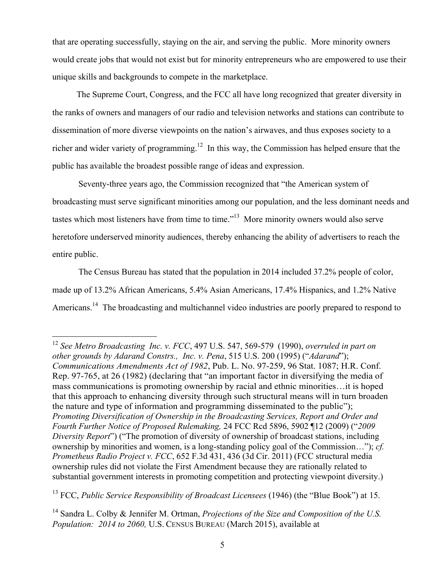that are operating successfully, staying on the air, and serving the public. More minority owners would create jobs that would not exist but for minority entrepreneurs who are empowered to use their unique skills and backgrounds to compete in the marketplace.

The Supreme Court, Congress, and the FCC all have long recognized that greater diversity in the ranks of owners and managers of our radio and television networks and stations can contribute to dissemination of more diverse viewpoints on the nation's airwaves, and thus exposes society to a richer and wider variety of programming.<sup>12</sup> In this way, the Commission has helped ensure that the public has available the broadest possible range of ideas and expression.

Seventy-three years ago, the Commission recognized that "the American system of broadcasting must serve significant minorities among our population, and the less dominant needs and tastes which most listeners have from time to time."<sup>13</sup> More minority owners would also serve heretofore underserved minority audiences, thereby enhancing the ability of advertisers to reach the entire public.

The Census Bureau has stated that the population in 2014 included 37.2% people of color, made up of 13.2% African Americans, 5.4% Asian Americans, 17.4% Hispanics, and 1.2% Native Americans.<sup>14</sup> The broadcasting and multichannel video industries are poorly prepared to respond to

 <sup>12</sup> *See Metro Broadcasting Inc. v. FCC*, 497 U.S. 547, 569-579 (1990), *overruled in part on other grounds by Adarand Constrs., Inc. v. Pena*, 515 U.S. 200 (1995) ("*Adarand*"); *Communications Amendments Act of 1982*, Pub. L. No. 97-259, 96 Stat. 1087; H.R. Conf. Rep. 97-765, at 26 (1982) (declaring that "an important factor in diversifying the media of mass communications is promoting ownership by racial and ethnic minorities…it is hoped that this approach to enhancing diversity through such structural means will in turn broaden the nature and type of information and programming disseminated to the public"); *Promoting Diversification of Ownership in the Broadcasting Services, Report and Order and Fourth Further Notice of Proposed Rulemaking,* 24 FCC Rcd 5896, 5902 ¶12 (2009) ("*2009 Diversity Report*") ("The promotion of diversity of ownership of broadcast stations, including ownership by minorities and women, is a long-standing policy goal of the Commission…"); *cf. Prometheus Radio Project v. FCC*, 652 F.3d 431, 436 (3d Cir. 2011) (FCC structural media ownership rules did not violate the First Amendment because they are rationally related to substantial government interests in promoting competition and protecting viewpoint diversity.)

<sup>13</sup> FCC, *Public Service Responsibility of Broadcast Licensees* (1946) (the "Blue Book") at 15.

<sup>14</sup> Sandra L. Colby & Jennifer M. Ortman, *Projections of the Size and Composition of the U.S. Population: 2014 to 2060,* U.S. CENSUS BUREAU (March 2015), available at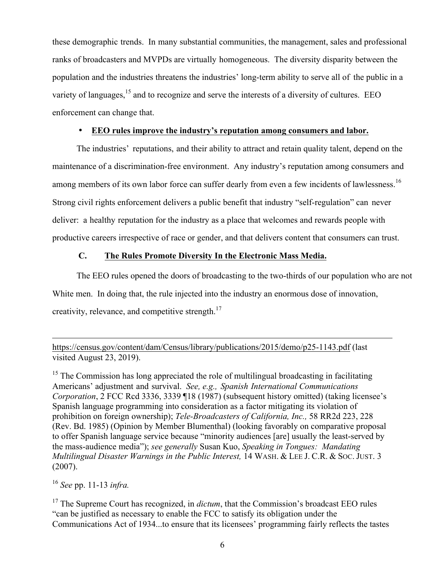these demographic trends. In many substantial communities, the management, sales and professional ranks of broadcasters and MVPDs are virtually homogeneous. The diversity disparity between the population and the industries threatens the industries' long-term ability to serve all of the public in a variety of languages,<sup>15</sup> and to recognize and serve the interests of a diversity of cultures. EEO enforcement can change that.

#### • **EEO rules improve the industry's reputation among consumers and labor.**

The industries' reputations, and their ability to attract and retain quality talent, depend on the maintenance of a discrimination-free environment. Any industry's reputation among consumers and among members of its own labor force can suffer dearly from even a few incidents of lawlessness.<sup>16</sup> Strong civil rights enforcement delivers a public benefit that industry "self-regulation" can never deliver: a healthy reputation for the industry as a place that welcomes and rewards people with productive careers irrespective of race or gender, and that delivers content that consumers can trust.

## **C. The Rules Promote Diversity In the Electronic Mass Media.**

The EEO rules opened the doors of broadcasting to the two-thirds of our population who are not White men. In doing that, the rule injected into the industry an enormous dose of innovation, creativity, relevance, and competitive strength.17

<sup>16</sup> *See* pp. 11-13 *infra.*

 $\overline{a}$ 

<sup>17</sup> The Supreme Court has recognized, in *dictum*, that the Commission's broadcast EEO rules "can be justified as necessary to enable the FCC to satisfy its obligation under the Communications Act of 1934...to ensure that its licensees' programming fairly reflects the tastes

https://census.gov/content/dam/Census/library/publications/2015/demo/p25-1143.pdf (last visited August 23, 2019).

 $15$  The Commission has long appreciated the role of multilingual broadcasting in facilitating Americans' adjustment and survival. *See, e.g., Spanish International Communications Corporation*, 2 FCC Rcd 3336, 3339 ¶18 (1987) (subsequent history omitted) (taking licensee's Spanish language programming into consideration as a factor mitigating its violation of prohibition on foreign ownership); *Tele-Broadcasters of California, Inc.,* 58 RR2d 223, 228 (Rev. Bd. 1985) (Opinion by Member Blumenthal) (looking favorably on comparative proposal to offer Spanish language service because "minority audiences [are] usually the least-served by the mass-audience media"); *see generally* Susan Kuo, *Speaking in Tongues: Mandating Multilingual Disaster Warnings in the Public Interest,* 14 WASH. & LEE J. C.R. & SOC. JUST. 3 (2007).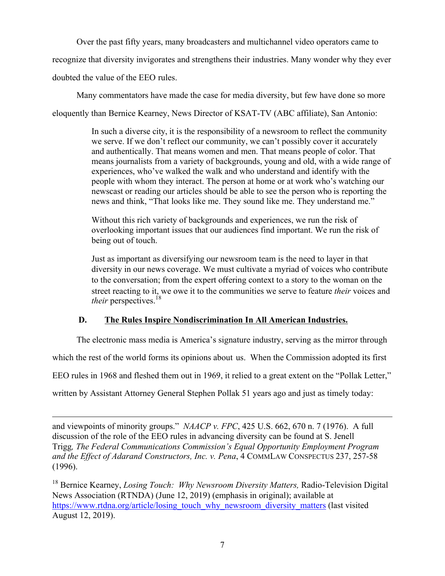Over the past fifty years, many broadcasters and multichannel video operators came to recognize that diversity invigorates and strengthens their industries. Many wonder why they ever doubted the value of the EEO rules.

Many commentators have made the case for media diversity, but few have done so more eloquently than Bernice Kearney, News Director of KSAT-TV (ABC affiliate), San Antonio:

> In such a diverse city, it is the responsibility of a newsroom to reflect the community we serve. If we don't reflect our community, we can't possibly cover it accurately and authentically. That means women and men. That means people of color. That means journalists from a variety of backgrounds, young and old, with a wide range of experiences, who've walked the walk and who understand and identify with the people with whom they interact. The person at home or at work who's watching our newscast or reading our articles should be able to see the person who is reporting the news and think, "That looks like me. They sound like me. They understand me."

Without this rich variety of backgrounds and experiences, we run the risk of overlooking important issues that our audiences find important. We run the risk of being out of touch.

Just as important as diversifying our newsroom team is the need to layer in that diversity in our news coverage. We must cultivate a myriad of voices who contribute to the conversation; from the expert offering context to a story to the woman on the street reacting to it, we owe it to the communities we serve to feature *their* voices and *their* perspectives.<sup>18</sup>

## **D. The Rules Inspire Nondiscrimination In All American Industries.**

The electronic mass media is America's signature industry, serving as the mirror through which the rest of the world forms its opinions about us. When the Commission adopted its first EEO rules in 1968 and fleshed them out in 1969, it relied to a great extent on the "Pollak Letter," written by Assistant Attorney General Stephen Pollak 51 years ago and just as timely today:

 $\overline{a}$ and viewpoints of minority groups." *NAACP v. FPC*, 425 U.S. 662, 670 n. 7 (1976). A full discussion of the role of the EEO rules in advancing diversity can be found at S. Jenell Trigg*, The Federal Communications Commission's Equal Opportunity Employment Program and the Effect of Adarand Constructors, Inc. v. Pena*, 4 COMMLAW CONSPECTUS 237, 257-58 (1996).

<sup>18</sup> Bernice Kearney, *Losing Touch: Why Newsroom Diversity Matters,* Radio-Television Digital News Association (RTNDA) (June 12, 2019) (emphasis in original); available at https://www.rtdna.org/article/losing\_touch\_why\_newsroom\_diversity\_matters (last visited August 12, 2019).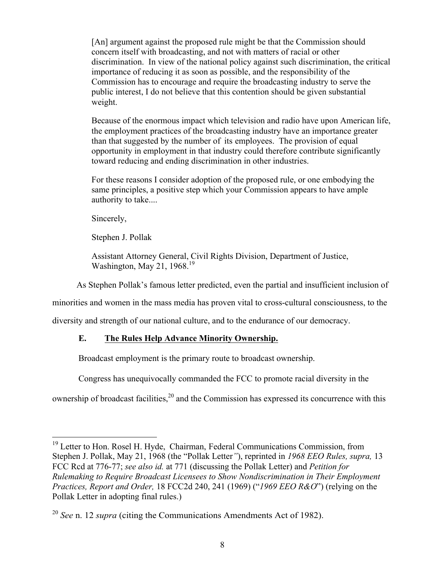[An] argument against the proposed rule might be that the Commission should concern itself with broadcasting, and not with matters of racial or other discrimination. In view of the national policy against such discrimination, the critical importance of reducing it as soon as possible, and the responsibility of the Commission has to encourage and require the broadcasting industry to serve the public interest, I do not believe that this contention should be given substantial weight.

Because of the enormous impact which television and radio have upon American life, the employment practices of the broadcasting industry have an importance greater than that suggested by the number of its employees. The provision of equal opportunity in employment in that industry could therefore contribute significantly toward reducing and ending discrimination in other industries.

For these reasons I consider adoption of the proposed rule, or one embodying the same principles, a positive step which your Commission appears to have ample authority to take....

Sincerely,

Stephen J. Pollak

Assistant Attorney General, Civil Rights Division, Department of Justice, Washington, May 21,  $1968$ <sup>19</sup>

As Stephen Pollak's famous letter predicted, even the partial and insufficient inclusion of

minorities and women in the mass media has proven vital to cross-cultural consciousness, to the

diversity and strength of our national culture, and to the endurance of our democracy.

## **E. The Rules Help Advance Minority Ownership.**

Broadcast employment is the primary route to broadcast ownership.

Congress has unequivocally commanded the FCC to promote racial diversity in the

ownership of broadcast facilities, $20$  and the Commission has expressed its concurrence with this

<sup>&</sup>lt;sup>19</sup> Letter to Hon. Rosel H. Hyde, Chairman, Federal Communications Commission, from Stephen J. Pollak, May 21, 1968 (the "Pollak Letter*"*), reprinted in *1968 EEO Rules, supra,* 13 FCC Rcd at 776-77; *see also id.* at 771 (discussing the Pollak Letter) and *Petition for Rulemaking to Require Broadcast Licensees to Show Nondiscrimination in Their Employment Practices, Report and Order,* 18 FCC2d 240, 241 (1969) ("*1969 EEO R&O*") (relying on the Pollak Letter in adopting final rules.)

<sup>20</sup> *See* n. 12 *supra* (citing the Communications Amendments Act of 1982).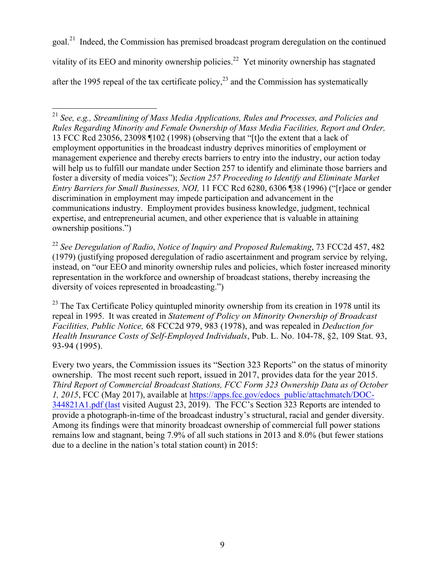goal.21 Indeed, the Commission has premised broadcast program deregulation on the continued vitality of its EEO and minority ownership policies.<sup>22</sup> Yet minority ownership has stagnated after the 1995 repeal of the tax certificate policy, $^{23}$  and the Commission has systematically

<sup>22</sup> *See Deregulation of Radio*, *Notice of Inquiry and Proposed Rulemaking*, 73 FCC2d 457, 482 (1979) (justifying proposed deregulation of radio ascertainment and program service by relying, instead, on "our EEO and minority ownership rules and policies, which foster increased minority representation in the workforce and ownership of broadcast stations, thereby increasing the diversity of voices represented in broadcasting.")

 $^{23}$  The Tax Certificate Policy quintupled minority ownership from its creation in 1978 until its repeal in 1995. It was created in *Statement of Policy on Minority Ownership of Broadcast Facilities, Public Notice,* 68 FCC2d 979, 983 (1978), and was repealed in *Deduction for Health Insurance Costs of Self-Employed Individuals*, Pub. L. No. 104-78, §2, 109 Stat. 93, 93-94 (1995).

Every two years, the Commission issues its "Section 323 Reports" on the status of minority ownership. The most recent such report, issued in 2017, provides data for the year 2015. *Third Report of Commercial Broadcast Stations, FCC Form 323 Ownership Data as of October 1, 2015*, FCC (May 2017), available at https://apps.fcc.gov/edocs\_public/attachmatch/DOC-344821A1.pdf (last visited August 23, 2019). The FCC's Section 323 Reports are intended to provide a photograph-in-time of the broadcast industry's structural, racial and gender diversity. Among its findings were that minority broadcast ownership of commercial full power stations remains low and stagnant, being 7.9% of all such stations in 2013 and 8.0% (but fewer stations due to a decline in the nation's total station count) in 2015:

 <sup>21</sup> *See, e.g., Streamlining of Mass Media Applications, Rules and Processes, and Policies and Rules Regarding Minority and Female Ownership of Mass Media Facilities, Report and Order,*  13 FCC Rcd 23056, 23098 ¶102 (1998) (observing that "[t]o the extent that a lack of employment opportunities in the broadcast industry deprives minorities of employment or management experience and thereby erects barriers to entry into the industry, our action today will help us to fulfill our mandate under Section 257 to identify and eliminate those barriers and foster a diversity of media voices"); *Section 257 Proceeding to Identify and Eliminate Market Entry Barriers for Small Businesses, NOI,* 11 FCC Rcd 6280, 6306 ¶38 (1996) ("[r]ace or gender discrimination in employment may impede participation and advancement in the communications industry. Employment provides business knowledge, judgment, technical expertise, and entrepreneurial acumen, and other experience that is valuable in attaining ownership positions.")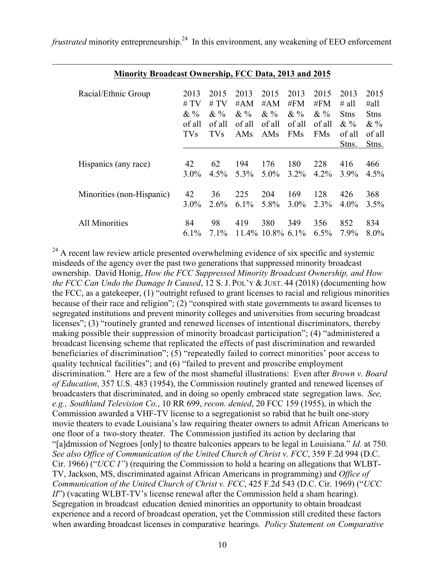| Racial/Ethnic Group       | 2013       | 2015       | 2013            | 2015          | 2013       | 2015       | 2013        | 2015        |
|---------------------------|------------|------------|-----------------|---------------|------------|------------|-------------|-------------|
|                           | # TV       | # $TV$     | $\#AM$          | $\#AM$        | #FM        | #FM        | # all       | #all        |
|                           | $&\%$      | $&\%$      | $&\%$           | $&\%$         | $&\%$      | $&\%$      | <b>Stns</b> | <b>Stns</b> |
|                           | of all     | of all     | of all          | of all        | of all     | of all     | $&\%$       | $&\%$       |
|                           | <b>TVs</b> | <b>TVs</b> | AM <sub>s</sub> | AMs           | <b>FMs</b> | <b>FMs</b> | of all      | of all      |
|                           |            |            |                 |               |            |            | Stns.       | Stns.       |
|                           |            |            |                 |               |            |            |             |             |
| Hispanics (any race)      | 42         | 62         | 194             | 176           | 180        | 228        | 416         | 466         |
|                           | $3.0\%$    | $4.5\%$    | 5.3%            | $5.0\%$       | $3.2\%$    | $4.2\%$    | $3.9\%$     | 4.5%        |
|                           |            |            |                 |               |            |            |             |             |
| Minorities (non-Hispanic) | 42         | 36         | 225             | 204           | 169        | 128        | 426         | 368         |
|                           | $3.0\%$    | 2.6%       | $6.1\%$         | 5.8%          | $3.0\%$    | $2.3\%$    | $4.0\%$     | 3.5%        |
|                           |            |            |                 |               |            |            |             |             |
| All Minorities            | 84         | 98         | 419             | 380           | 349        | 356        | 852         | 834         |
|                           | $6.1\%$    | 7.1%       | $11.4\%$        | $10.8\%$ 6.1% |            | 6.5%       | 7.9%        | $8.0\%$     |
|                           |            |            |                 |               |            |            |             |             |

## **Minority Broadcast Ownership, FCC Data, 2013 and 2015**

 $\overline{a}$ 

 $24$  A recent law review article presented overwhelming evidence of six specific and systemic misdeeds of the agency over the past two generations that suppressed minority broadcast ownership. David Honig, *How the FCC Suppressed Minority Broadcast Ownership, and How the FCC Can Undo the Damage It Caused*, 12 S. J. POL'Y & JUST. 44 (2018) (documenting how the FCC, as a gatekeeper, (1) "outright refused to grant licenses to racial and religious minorities because of their race and religion"; (2) "conspired with state governments to award licenses to segregated institutions and prevent minority colleges and universities from securing broadcast licenses"; (3) "routinely granted and renewed licenses of intentional discriminators, thereby making possible their suppression of minority broadcast participation"; (4) "administered a broadcast licensing scheme that replicated the effects of past discrimination and rewarded beneficiaries of discrimination"; (5) "repeatedly failed to correct minorities' poor access to quality technical facilities"; and (6) "failed to prevent and proscribe employment discrimination." Here are a few of the most shameful illustrations: Even after *Brown v. Board of Education*, 357 U.S. 483 (1954), the Commission routinely granted and renewed licenses of broadcasters that discriminated, and in doing so openly embraced state segregation laws. *See, e.g., Southland Television Co.*, 10 RR 699, *recon. denied*, 20 FCC 159 (1955), in which the Commission awarded a VHF-TV license to a segregationist so rabid that he built one-story movie theaters to evade Louisiana's law requiring theater owners to admit African Americans to one floor of a two-story theater. The Commission justified its action by declaring that "[a]dmission of Negroes [only] to theatre balconies appears to be legal in Louisiana." *Id.* at 750. *See also Office of Communication of the United Church of Christ v. FCC*, 359 F.2d 994 (D.C. Cir. 1966) ("*UCC I"*) (requiring the Commission to hold a hearing on allegations that WLBT-TV, Jackson, MS, discriminated against African Americans in programming) and *Office of Communication of the United Church of Christ v. FCC*, 425 F.2d 543 (D.C. Cir. 1969) ("*UCC II*") (vacating WLBT-TV's license renewal after the Commission held a sham hearing). Segregation in broadcast education denied minorities an opportunity to obtain broadcast experience and a record of broadcast operation, yet the Commission still credited these factors when awarding broadcast licenses in comparative hearings. *Policy Statement on Comparative*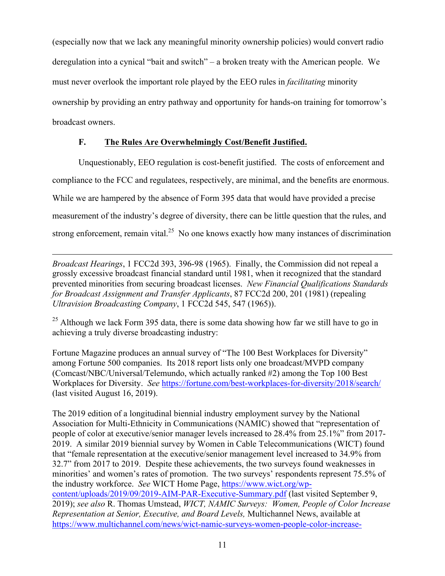(especially now that we lack any meaningful minority ownership policies) would convert radio deregulation into a cynical "bait and switch" – a broken treaty with the American people. We must never overlook the important role played by the EEO rules in *facilitating* minority ownership by providing an entry pathway and opportunity for hands-on training for tomorrow's broadcast owners.

## **F. The Rules Are Overwhelmingly Cost/Benefit Justified.**

Unquestionably, EEO regulation is cost-benefit justified. The costs of enforcement and compliance to the FCC and regulatees, respectively, are minimal, and the benefits are enormous. While we are hampered by the absence of Form 395 data that would have provided a precise measurement of the industry's degree of diversity, there can be little question that the rules, and strong enforcement, remain vital.<sup>25</sup> No one knows exactly how many instances of discrimination

 $\overline{a}$ *Broadcast Hearings*, 1 FCC2d 393, 396-98 (1965). Finally, the Commission did not repeal a grossly excessive broadcast financial standard until 1981, when it recognized that the standard prevented minorities from securing broadcast licenses. *New Financial Qualifications Standards for Broadcast Assignment and Transfer Applicants*, 87 FCC2d 200, 201 (1981) (repealing *Ultravision Broadcasting Company*, 1 FCC2d 545, 547 (1965)).

 $^{25}$  Although we lack Form 395 data, there is some data showing how far we still have to go in achieving a truly diverse broadcasting industry:

Fortune Magazine produces an annual survey of "The 100 Best Workplaces for Diversity" among Fortune 500 companies. Its 2018 report lists only one broadcast/MVPD company (Comcast/NBC/Universal/Telemundo, which actually ranked #2) among the Top 100 Best Workplaces for Diversity. *See* https://fortune.com/best-workplaces-for-diversity/2018/search/ (last visited August 16, 2019).

The 2019 edition of a longitudinal biennial industry employment survey by the National Association for Multi-Ethnicity in Communications (NAMIC) showed that "representation of people of color at executive/senior manager levels increased to 28.4% from 25.1%" from 2017- 2019. A similar 2019 biennial survey by Women in Cable Telecommunications (WICT) found that "female representation at the executive/senior management level increased to 34.9% from 32.7" from 2017 to 2019. Despite these achievements, the two surveys found weaknesses in minorities' and women's rates of promotion. The two surveys' respondents represent 75.5% of the industry workforce. *See* WICT Home Page, https://www.wict.org/wpcontent/uploads/2019/09/2019-AIM-PAR-Executive-Summary.pdf (last visited September 9, 2019); *see also* R. Thomas Umstead, *WICT, NAMIC Surveys: Women, People of Color Increase Representation at Senior, Executive, and Board Levels,* Multichannel News, available at https://www.multichannel.com/news/wict-namic-surveys-women-people-color-increase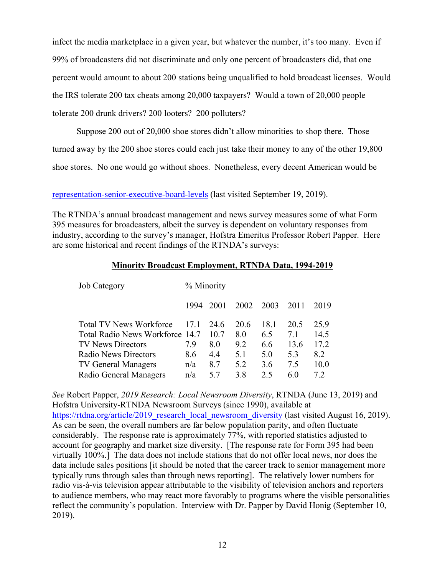infect the media marketplace in a given year, but whatever the number, it's too many. Even if 99% of broadcasters did not discriminate and only one percent of broadcasters did, that one percent would amount to about 200 stations being unqualified to hold broadcast licenses. Would the IRS tolerate 200 tax cheats among 20,000 taxpayers? Would a town of 20,000 people tolerate 200 drunk drivers? 200 looters? 200 polluters?

Suppose 200 out of 20,000 shoe stores didn't allow minorities to shop there. Those

turned away by the 200 shoe stores could each just take their money to any of the other 19,800

shoe stores. No one would go without shoes. Nonetheless, every decent American would be

representation-senior-executive-board-levels (last visited September 19, 2019).

 $\overline{a}$ 

The RTNDA's annual broadcast management and news survey measures some of what Form 395 measures for broadcasters, albeit the survey is dependent on voluntary responses from industry, according to the survey's manager, Hofstra Emeritus Professor Robert Papper. Here are some historical and recent findings of the RTNDA's surveys:

#### **Minority Broadcast Employment, RTNDA Data, 1994-2019**

| <b>Job Category</b>                                                                                                                                                           | % Minority                     |                                       |                                      |                                         |                                       |                                          |  |
|-------------------------------------------------------------------------------------------------------------------------------------------------------------------------------|--------------------------------|---------------------------------------|--------------------------------------|-----------------------------------------|---------------------------------------|------------------------------------------|--|
|                                                                                                                                                                               | 1994                           | 2001                                  | 2002                                 | 2003                                    | 2011                                  | 2019                                     |  |
| <b>Total TV News Workforce</b><br>Total Radio News Workforce 14.7<br><b>TV News Directors</b><br>Radio News Directors<br><b>TV General Managers</b><br>Radio General Managers | 171<br>79<br>8.6<br>n/a<br>n/a | 24.6<br>10.7<br>80<br>44<br>8.7<br>57 | 20.6<br>8.0<br>92<br>51<br>5.2<br>38 | 18.1<br>6.5<br>6.6<br>5.0<br>3.6<br>2.5 | 20.5<br>71<br>13.6<br>53<br>7.5<br>60 | 259<br>14.5<br>17.2<br>8.2<br>10.0<br>72 |  |
|                                                                                                                                                                               |                                |                                       |                                      |                                         |                                       |                                          |  |

*See* Robert Papper, *2019 Research: Local Newsroom Diversity*, RTNDA (June 13, 2019) and Hofstra University-RTNDA Newsroom Surveys (since 1990), available at https://rtdna.org/article/2019 research\_local\_newsroom\_diversity (last visited August 16, 2019). As can be seen, the overall numbers are far below population parity, and often fluctuate considerably. The response rate is approximately 77%, with reported statistics adjusted to account for geography and market size diversity. [The response rate for Form 395 had been virtually 100%.] The data does not include stations that do not offer local news, nor does the data include sales positions [it should be noted that the career track to senior management more typically runs through sales than through news reporting]. The relatively lower numbers for radio vis-à-vis television appear attributable to the visibility of television anchors and reporters to audience members, who may react more favorably to programs where the visible personalities reflect the community's population. Interview with Dr. Papper by David Honig (September 10, 2019).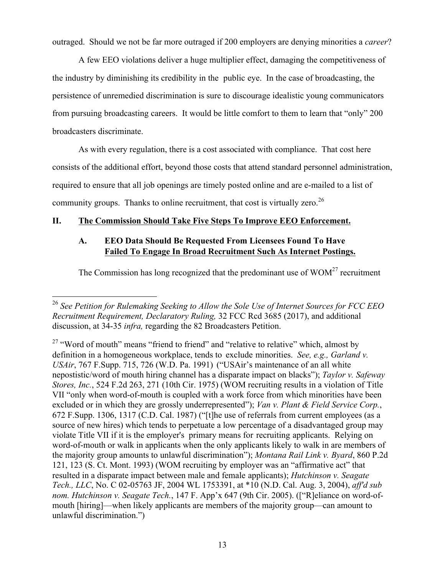outraged. Should we not be far more outraged if 200 employers are denying minorities a *career*?

A few EEO violations deliver a huge multiplier effect, damaging the competitiveness of the industry by diminishing its credibility in the public eye. In the case of broadcasting, the persistence of unremedied discrimination is sure to discourage idealistic young communicators from pursuing broadcasting careers. It would be little comfort to them to learn that "only" 200 broadcasters discriminate.

As with every regulation, there is a cost associated with compliance. That cost here consists of the additional effort, beyond those costs that attend standard personnel administration, required to ensure that all job openings are timely posted online and are e-mailed to a list of community groups. Thanks to online recruitment, that cost is virtually zero.<sup>26</sup>

#### **II. The Commission Should Take Five Steps To Improve EEO Enforcement.**

## **A. EEO Data Should Be Requested From Licensees Found To Have Failed To Engage In Broad Recruitment Such As Internet Postings.**

The Commission has long recognized that the predominant use of  $WOM<sup>27</sup>$  recruitment

 <sup>26</sup> *See Petition for Rulemaking Seeking to Allow the Sole Use of Internet Sources for FCC EEO Recruitment Requirement, Declaratory Ruling,* 32 FCC Rcd 3685 (2017), and additional discussion, at 34-35 *infra,* regarding the 82 Broadcasters Petition.

 $27$  "Word of mouth" means "friend to friend" and "relative to relative" which, almost by definition in a homogeneous workplace, tends to exclude minorities. *See, e.g., Garland v. USAir*, 767 F.Supp. 715, 726 (W.D. Pa. 1991) ("USAir's maintenance of an all white nepostistic/word of mouth hiring channel has a disparate impact on blacks"); *Taylor v. Safeway Stores, Inc.*, 524 F.2d 263, 271 (10th Cir. 1975) (WOM recruiting results in a violation of Title VII "only when word-of-mouth is coupled with a work force from which minorities have been excluded or in which they are grossly underrepresented"); *Van v. Plant & Field Service Corp.*, 672 F.Supp. 1306, 1317 (C.D. Cal. 1987) ("[t]he use of referrals from current employees (as a source of new hires) which tends to perpetuate a low percentage of a disadvantaged group may violate Title VII if it is the employer's primary means for recruiting applicants. Relying on word-of-mouth or walk in applicants when the only applicants likely to walk in are members of the majority group amounts to unlawful discrimination"); *Montana Rail Link v. Byard*, 860 P.2d 121, 123 (S. Ct. Mont. 1993) (WOM recruiting by employer was an "affirmative act" that resulted in a disparate impact between male and female applicants); *Hutchinson v. Seagate Tech., LLC*, No. C 02-05763 JF, 2004 WL 1753391, at \*10 (N.D. Cal. Aug. 3, 2004), *aff'd sub nom. Hutchinson v. Seagate Tech.*, 147 F. App'x 647 (9th Cir. 2005). (["R]eliance on word-ofmouth [hiring]—when likely applicants are members of the majority group—can amount to unlawful discrimination.")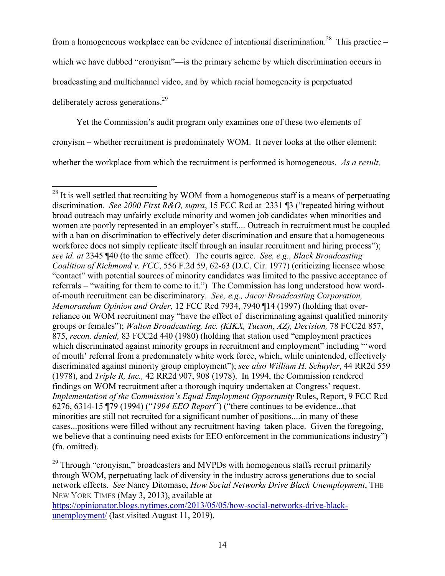from a homogeneous workplace can be evidence of intentional discrimination.<sup>28</sup> This practice –

which we have dubbed "cronyism"—is the primary scheme by which discrimination occurs in

broadcasting and multichannel video, and by which racial homogeneity is perpetuated

deliberately across generations.<sup>29</sup>

Yet the Commission's audit program only examines one of these two elements of

cronyism – whether recruitment is predominately WOM. It never looks at the other element:

whether the workplace from which the recruitment is performed is homogeneous. *As a result,* 

 $29$  Through "cronyism," broadcasters and MVPDs with homogenous staffs recruit primarily through WOM, perpetuating lack of diversity in the industry across generations due to social network effects. *See* Nancy Ditomaso, *How Social Networks Drive Black Unemployment*, THE NEW YORK TIMES (May 3, 2013), available at

https://opinionator.blogs.nytimes.com/2013/05/05/how-social-networks-drive-blackunemployment/ (last visited August 11, 2019).

 $^{28}$  It is well settled that recruiting by WOM from a homogeneous staff is a means of perpetuating discrimination. *See 2000 First R&O, supra*, 15 FCC Rcd at 2331 ¶3 ("repeated hiring without broad outreach may unfairly exclude minority and women job candidates when minorities and women are poorly represented in an employer's staff.... Outreach in recruitment must be coupled with a ban on discrimination to effectively deter discrimination and ensure that a homogeneous workforce does not simply replicate itself through an insular recruitment and hiring process"); *see id. at* 2345 ¶40 (to the same effect). The courts agree. *See, e.g., Black Broadcasting Coalition of Richmond v. FCC*, 556 F.2d 59, 62-63 (D.C. Cir. 1977) (criticizing licensee whose "contact" with potential sources of minority candidates was limited to the passive acceptance of referrals – "waiting for them to come to it.") The Commission has long understood how wordof-mouth recruitment can be discriminatory. *See, e.g., Jacor Broadcasting Corporation, Memorandum Opinion and Order,* 12 FCC Rcd 7934, 7940 ¶14 (1997) (holding that overreliance on WOM recruitment may "have the effect of discriminating against qualified minority groups or females"); *Walton Broadcasting, Inc. (KIKX, Tucson, AZ), Decision,* 78 FCC2d 857, 875, *recon. denied,* 83 FCC2d 440 (1980) (holding that station used "employment practices which discriminated against minority groups in recruitment and employment" including "word of mouth' referral from a predominately white work force, which, while unintended, effectively discriminated against minority group employment"); *see also William H. Schuyler*, 44 RR2d 559 (1978), and *Triple R, Inc.,* 42 RR2d 907, 908 (1978). In 1994, the Commission rendered findings on WOM recruitment after a thorough inquiry undertaken at Congress' request. *Implementation of the Commission's Equal Employment Opportunity* Rules, Report, 9 FCC Rcd 6276, 6314-15 ¶79 (1994) ("*1994 EEO Report*") ("there continues to be evidence...that minorities are still not recruited for a significant number of positions....in many of these cases...positions were filled without any recruitment having taken place. Given the foregoing, we believe that a continuing need exists for EEO enforcement in the communications industry") (fn. omitted).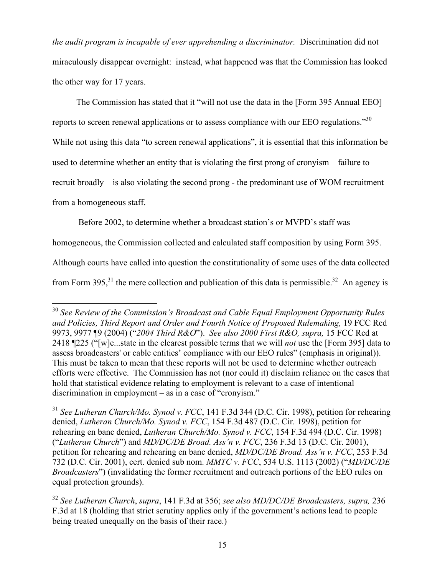*the audit program is incapable of ever apprehending a discriminator.* Discrimination did not miraculously disappear overnight: instead, what happened was that the Commission has looked the other way for 17 years.

The Commission has stated that it "will not use the data in the [Form 395 Annual EEO] reports to screen renewal applications or to assess compliance with our EEO regulations."<sup>30</sup> While not using this data "to screen renewal applications", it is essential that this information be used to determine whether an entity that is violating the first prong of cronyism—failure to recruit broadly—is also violating the second prong - the predominant use of WOM recruitment from a homogeneous staff.

Before 2002, to determine whether a broadcast station's or MVPD's staff was

homogeneous, the Commission collected and calculated staff composition by using Form 395.

Although courts have called into question the constitutionality of some uses of the data collected

from Form 395,<sup>31</sup> the mere collection and publication of this data is permissible.<sup>32</sup> An agency is

 <sup>30</sup> *See Review of the Commission's Broadcast and Cable Equal Employment Opportunity Rules and Policies, Third Report and Order and Fourth Notice of Proposed Rulemaking,* 19 FCC Rcd 9973, 9977 ¶9 (2004) ("*2004 Third R&O*"). *See also 2000 First R&O, supra,* 15 FCC Rcd at 2418 ¶225 ("[w]e...state in the clearest possible terms that we will *not* use the [Form 395] data to assess broadcasters' or cable entities' compliance with our EEO rules" (emphasis in original)). This must be taken to mean that these reports will not be used to determine whether outreach efforts were effective. The Commission has not (nor could it) disclaim reliance on the cases that hold that statistical evidence relating to employment is relevant to a case of intentional discrimination in employment – as in a case of "cronyism."

<sup>31</sup> *See Lutheran Church/Mo. Synod v. FCC*, 141 F.3d 344 (D.C. Cir. 1998), petition for rehearing denied, *Lutheran Church/Mo. Synod v. FCC*, 154 F.3d 487 (D.C. Cir. 1998), petition for rehearing en banc denied, *Lutheran Church/Mo. Synod v. FCC*, 154 F.3d 494 (D.C. Cir. 1998) ("*Lutheran Church*") and *MD/DC/DE Broad. Ass'n v. FCC*, 236 F.3d 13 (D.C. Cir. 2001), petition for rehearing and rehearing en banc denied, *MD/DC/DE Broad. Ass'n v. FCC*, 253 F.3d 732 (D.C. Cir. 2001), cert. denied sub nom. *MMTC v. FCC*, 534 U.S. 1113 (2002) ("*MD/DC/DE Broadcasters*") (invalidating the former recruitment and outreach portions of the EEO rules on equal protection grounds).

<sup>32</sup> *See Lutheran Church*, *supra*, 141 F.3d at 356; *see also MD/DC/DE Broadcasters, supra,* 236 F.3d at 18 (holding that strict scrutiny applies only if the government's actions lead to people being treated unequally on the basis of their race.)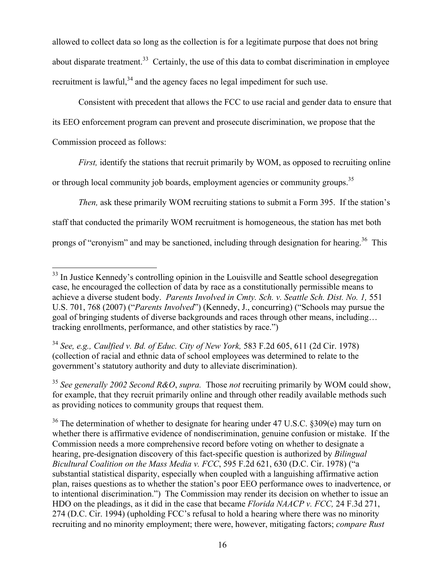allowed to collect data so long as the collection is for a legitimate purpose that does not bring about disparate treatment.<sup>33</sup> Certainly, the use of this data to combat discrimination in employee recruitment is lawful,  $34$  and the agency faces no legal impediment for such use.

Consistent with precedent that allows the FCC to use racial and gender data to ensure that its EEO enforcement program can prevent and prosecute discrimination, we propose that the Commission proceed as follows:

*First*, identify the stations that recruit primarily by WOM, as opposed to recruiting online

or through local community job boards, employment agencies or community groups.<sup>35</sup>

*Then,* ask these primarily WOM recruiting stations to submit a Form 395. If the station's staff that conducted the primarily WOM recruitment is homogeneous, the station has met both prongs of "cronyism" and may be sanctioned, including through designation for hearing.<sup>36</sup> This

<sup>&</sup>lt;sup>33</sup> In Justice Kennedy's controlling opinion in the Louisville and Seattle school desegregation case, he encouraged the collection of data by race as a constitutionally permissible means to achieve a diverse student body. *Parents Involved in Cmty. Sch. v. Seattle Sch. Dist. No. 1,* 551 U.S. 701, 768 (2007) ("*Parents Involved*") (Kennedy, J., concurring) ("Schools may pursue the goal of bringing students of diverse backgrounds and races through other means, including… tracking enrollments, performance, and other statistics by race.")

<sup>34</sup> *See, e.g., Caulfied v. Bd. of Educ. City of New York,* 583 F.2d 605, 611 (2d Cir. 1978) (collection of racial and ethnic data of school employees was determined to relate to the government's statutory authority and duty to alleviate discrimination).

<sup>35</sup> *See generally 2002 Second R&O*, *supra.* Those *not* recruiting primarily by WOM could show, for example, that they recruit primarily online and through other readily available methods such as providing notices to community groups that request them.

<sup>&</sup>lt;sup>36</sup> The determination of whether to designate for hearing under 47 U.S.C. §309(e) may turn on whether there is affirmative evidence of nondiscrimination, genuine confusion or mistake. If the Commission needs a more comprehensive record before voting on whether to designate a hearing, pre-designation discovery of this fact-specific question is authorized by *Bilingual Bicultural Coalition on the Mass Media v. FCC*, 595 F.2d 621, 630 (D.C. Cir. 1978) ("a substantial statistical disparity, especially when coupled with a languishing affirmative action plan, raises questions as to whether the station's poor EEO performance owes to inadvertence, or to intentional discrimination.") The Commission may render its decision on whether to issue an HDO on the pleadings, as it did in the case that became *Florida NAACP v. FCC,* 24 F.3d 271, 274 (D.C. Cir. 1994) (upholding FCC's refusal to hold a hearing where there was no minority recruiting and no minority employment; there were, however, mitigating factors; *compare Rust*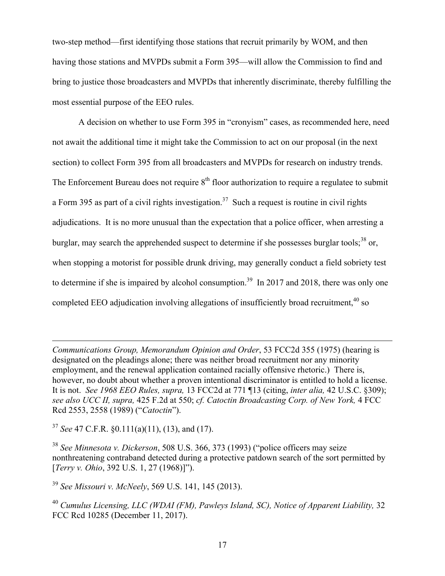two-step method—first identifying those stations that recruit primarily by WOM, and then having those stations and MVPDs submit a Form 395—will allow the Commission to find and bring to justice those broadcasters and MVPDs that inherently discriminate, thereby fulfilling the most essential purpose of the EEO rules.

A decision on whether to use Form 395 in "cronyism" cases, as recommended here, need not await the additional time it might take the Commission to act on our proposal (in the next section) to collect Form 395 from all broadcasters and MVPDs for research on industry trends. The Enforcement Bureau does not require  $8<sup>th</sup>$  floor authorization to require a regulatee to submit a Form 395 as part of a civil rights investigation.<sup>37</sup> Such a request is routine in civil rights adjudications. It is no more unusual than the expectation that a police officer, when arresting a burglar, may search the apprehended suspect to determine if she possesses burglar tools;<sup>38</sup> or, when stopping a motorist for possible drunk driving, may generally conduct a field sobriety test to determine if she is impaired by alcohol consumption.<sup>39</sup> In 2017 and 2018, there was only one completed EEO adjudication involving allegations of insufficiently broad recruitment,<sup>40</sup> so

*Communications Group, Memorandum Opinion and Order*, 53 FCC2d 355 (1975) (hearing is designated on the pleadings alone; there was neither broad recruitment nor any minority employment, and the renewal application contained racially offensive rhetoric.) There is, however, no doubt about whether a proven intentional discriminator is entitled to hold a license. It is not. *See 1968 EEO Rules, supra,* 13 FCC2d at 771 ¶13 (citing, *inter alia,* 42 U.S.C. §309); *see also UCC II, supra,* 425 F.2d at 550; *cf. Catoctin Broadcasting Corp. of New York,* 4 FCC Rcd 2553, 2558 (1989) ("*Catoctin*").

<sup>37</sup> *See* 47 C.F.R. §0.111(a)(11), (13), and (17).

 $\overline{a}$ 

<sup>38</sup> *See Minnesota v. Dickerson*, 508 U.S. 366, 373 (1993) ("police officers may seize nonthreatening contraband detected during a protective patdown search of the sort permitted by [*Terry v. Ohio*, 392 U.S. 1, 27 (1968)]").

<sup>39</sup> *See Missouri v. McNeely*, 569 U.S. 141, 145 (2013).

<sup>40</sup> *Cumulus Licensing, LLC (WDAI (FM), Pawleys Island, SC), Notice of Apparent Liability,* 32 FCC Rcd 10285 (December 11, 2017).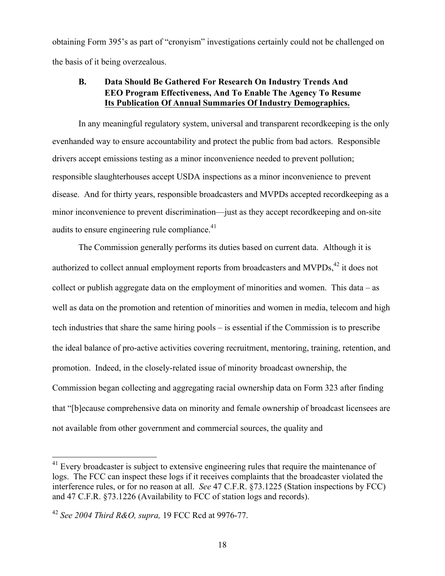obtaining Form 395's as part of "cronyism" investigations certainly could not be challenged on the basis of it being overzealous.

#### **B. Data Should Be Gathered For Research On Industry Trends And EEO Program Effectiveness, And To Enable The Agency To Resume Its Publication Of Annual Summaries Of Industry Demographics.**

In any meaningful regulatory system, universal and transparent recordkeeping is the only evenhanded way to ensure accountability and protect the public from bad actors. Responsible drivers accept emissions testing as a minor inconvenience needed to prevent pollution; responsible slaughterhouses accept USDA inspections as a minor inconvenience to prevent disease. And for thirty years, responsible broadcasters and MVPDs accepted recordkeeping as a minor inconvenience to prevent discrimination—just as they accept recordkeeping and on-site audits to ensure engineering rule compliance.<sup>41</sup>

The Commission generally performs its duties based on current data. Although it is authorized to collect annual employment reports from broadcasters and  $MVPDs<sub>1</sub><sup>42</sup>$  it does not collect or publish aggregate data on the employment of minorities and women. This data – as well as data on the promotion and retention of minorities and women in media, telecom and high tech industries that share the same hiring pools – is essential if the Commission is to prescribe the ideal balance of pro-active activities covering recruitment, mentoring, training, retention, and promotion. Indeed, in the closely-related issue of minority broadcast ownership, the Commission began collecting and aggregating racial ownership data on Form 323 after finding that "[b]ecause comprehensive data on minority and female ownership of broadcast licensees are not available from other government and commercial sources, the quality and

<sup>&</sup>lt;sup>41</sup> Every broadcaster is subject to extensive engineering rules that require the maintenance of logs. The FCC can inspect these logs if it receives complaints that the broadcaster violated the interference rules, or for no reason at all. *See* 47 C.F.R. §73.1225 (Station inspections by FCC) and 47 C.F.R. §73.1226 (Availability to FCC of station logs and records).

<sup>42</sup> *See 2004 Third R&O, supra,* 19 FCC Rcd at 9976-77.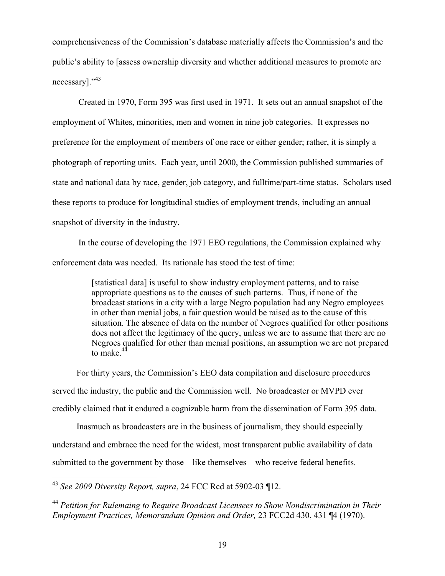comprehensiveness of the Commission's database materially affects the Commission's and the public's ability to [assess ownership diversity and whether additional measures to promote are necessary]."<sup>43</sup>

Created in 1970, Form 395 was first used in 1971. It sets out an annual snapshot of the employment of Whites, minorities, men and women in nine job categories. It expresses no preference for the employment of members of one race or either gender; rather, it is simply a photograph of reporting units. Each year, until 2000, the Commission published summaries of state and national data by race, gender, job category, and fulltime/part-time status. Scholars used these reports to produce for longitudinal studies of employment trends, including an annual snapshot of diversity in the industry.

In the course of developing the 1971 EEO regulations, the Commission explained why enforcement data was needed. Its rationale has stood the test of time:

> [statistical data] is useful to show industry employment patterns, and to raise appropriate questions as to the causes of such patterns. Thus, if none of the broadcast stations in a city with a large Negro population had any Negro employees in other than menial jobs, a fair question would be raised as to the cause of this situation. The absence of data on the number of Negroes qualified for other positions does not affect the legitimacy of the query, unless we are to assume that there are no Negroes qualified for other than menial positions, an assumption we are not prepared to make. $4^2$

For thirty years, the Commission's EEO data compilation and disclosure procedures served the industry, the public and the Commission well. No broadcaster or MVPD ever credibly claimed that it endured a cognizable harm from the dissemination of Form 395 data.

Inasmuch as broadcasters are in the business of journalism, they should especially understand and embrace the need for the widest, most transparent public availability of data submitted to the government by those—like themselves—who receive federal benefits.

 <sup>43</sup> *See 2009 Diversity Report, supra*, 24 FCC Rcd at 5902-03 ¶12.

<sup>44</sup> *Petition for Rulemaing to Require Broadcast Licensees to Show Nondiscrimination in Their Employment Practices, Memorandum Opinion and Order,* 23 FCC2d 430, 431 ¶4 (1970).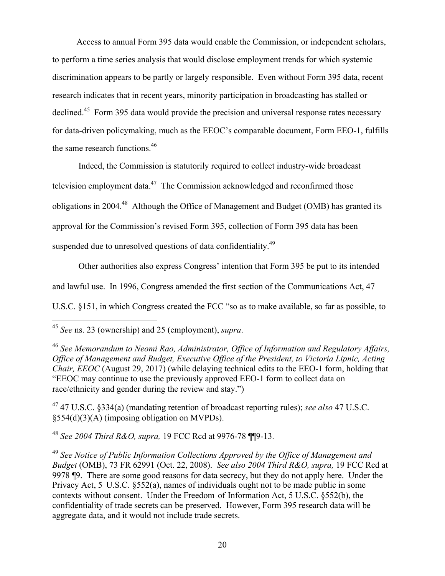Access to annual Form 395 data would enable the Commission, or independent scholars, to perform a time series analysis that would disclose employment trends for which systemic discrimination appears to be partly or largely responsible. Even without Form 395 data, recent research indicates that in recent years, minority participation in broadcasting has stalled or declined.<sup>45</sup> Form 395 data would provide the precision and universal response rates necessary for data-driven policymaking, much as the EEOC's comparable document, Form EEO-1, fulfills the same research functions.46

Indeed, the Commission is statutorily required to collect industry-wide broadcast television employment data. $47$  The Commission acknowledged and reconfirmed those obligations in 2004.48 Although the Office of Management and Budget (OMB) has granted its approval for the Commission's revised Form 395, collection of Form 395 data has been suspended due to unresolved questions of data confidentiality.<sup>49</sup>

Other authorities also express Congress' intention that Form 395 be put to its intended and lawful use. In 1996, Congress amended the first section of the Communications Act, 47 U.S.C. §151, in which Congress created the FCC "so as to make available, so far as possible, to

<sup>47</sup> 47 U.S.C. §334(a) (mandating retention of broadcast reporting rules); *see also* 47 U.S.C. §554(d)(3)(A) (imposing obligation on MVPDs).

<sup>48</sup> *See 2004 Third R&O, supra,* 19 FCC Rcd at 9976-78 ¶¶9-13.

<sup>49</sup> *See Notice of Public Information Collections Approved by the Office of Management and Budget* (OMB), 73 FR 62991 (Oct. 22, 2008). *See also 2004 Third R&O, supra,* 19 FCC Rcd at 9978 ¶9. There are some good reasons for data secrecy, but they do not apply here. Under the Privacy Act, 5 U.S.C. §552(a), names of individuals ought not to be made public in some contexts without consent. Under the Freedom of Information Act, 5 U.S.C. §552(b), the confidentiality of trade secrets can be preserved. However, Form 395 research data will be aggregate data, and it would not include trade secrets.

 <sup>45</sup> *See* ns. 23 (ownership) and 25 (employment), *supra*.

<sup>46</sup> *See Memorandum to Neomi Rao, Administrator, Office of Information and Regulatory Affairs, Office of Management and Budget, Executive Office of the President, to Victoria Lipnic, Acting Chair, EEOC* (August 29, 2017) (while delaying technical edits to the EEO-1 form, holding that "EEOC may continue to use the previously approved EEO-1 form to collect data on race/ethnicity and gender during the review and stay.")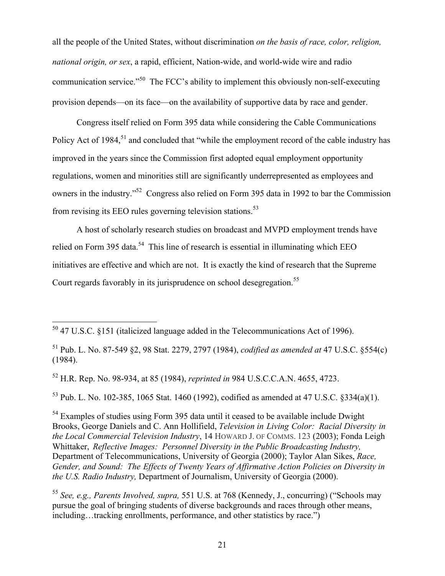all the people of the United States, without discrimination *on the basis of race, color, religion, national origin, or sex*, a rapid, efficient, Nation-wide, and world-wide wire and radio communication service."<sup>50</sup> The FCC's ability to implement this obviously non-self-executing provision depends—on its face—on the availability of supportive data by race and gender.

Congress itself relied on Form 395 data while considering the Cable Communications Policy Act of 1984,<sup>51</sup> and concluded that "while the employment record of the cable industry has improved in the years since the Commission first adopted equal employment opportunity regulations, women and minorities still are significantly underrepresented as employees and owners in the industry."52 Congress also relied on Form 395 data in 1992 to bar the Commission from revising its EEO rules governing television stations.<sup>53</sup>

A host of scholarly research studies on broadcast and MVPD employment trends have relied on Form 395 data.<sup>54</sup> This line of research is essential in illuminating which EEO initiatives are effective and which are not. It is exactly the kind of research that the Supreme Court regards favorably in its jurisprudence on school desegregation.<sup>55</sup>

<sup>52</sup> H.R. Rep. No. 98-934, at 85 (1984), *reprinted in* 984 U.S.C.C.A.N. 4655, 4723.

<sup>53</sup> Pub. L. No. 102-385, 1065 Stat. 1460 (1992), codified as amended at 47 U.S.C. §334(a)(1).

 <sup>50</sup> 47 U.S.C. §151 (italicized language added in the Telecommunications Act of 1996).

<sup>51</sup> Pub. L. No. 87-549 §2, 98 Stat. 2279, 2797 (1984), *codified as amended at* 47 U.S.C. §554(c) (1984).

<sup>&</sup>lt;sup>54</sup> Examples of studies using Form 395 data until it ceased to be available include Dwight Brooks, George Daniels and C. Ann Hollifield, *Television in Living Color: Racial Diversity in the Local Commercial Television Industry*, 14 HOWARD J. OF COMMS. 123 (2003); Fonda Leigh Whittaker, *Reflective Images: Personnel Diversity in the Public Broadcasting Industry,* Department of Telecommunications, University of Georgia (2000); Taylor Alan Sikes, *Race, Gender, and Sound: The Effects of Twenty Years of Affirmative Action Policies on Diversity in the U.S. Radio Industry,* Department of Journalism, University of Georgia (2000).

<sup>55</sup> *See, e.g., Parents Involved, supra,* 551 U.S. at 768 (Kennedy, J., concurring) ("Schools may pursue the goal of bringing students of diverse backgrounds and races through other means, including…tracking enrollments, performance, and other statistics by race.")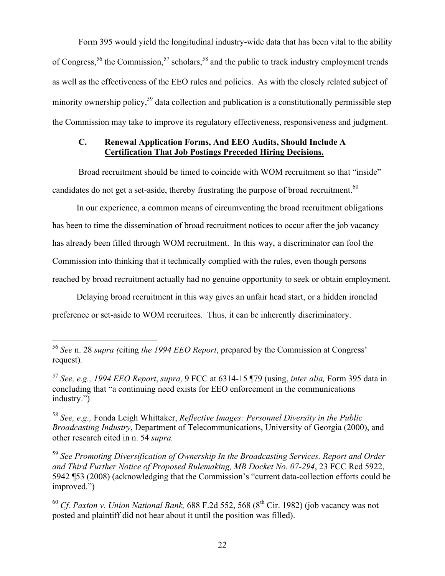Form 395 would yield the longitudinal industry-wide data that has been vital to the ability of Congress,<sup>56</sup> the Commission,<sup>57</sup> scholars,<sup>58</sup> and the public to track industry employment trends as well as the effectiveness of the EEO rules and policies. As with the closely related subject of minority ownership policy.<sup>59</sup> data collection and publication is a constitutionally permissible step the Commission may take to improve its regulatory effectiveness, responsiveness and judgment.

#### **C. Renewal Application Forms, And EEO Audits, Should Include A Certification That Job Postings Preceded Hiring Decisions.**

Broad recruitment should be timed to coincide with WOM recruitment so that "inside" candidates do not get a set-aside, thereby frustrating the purpose of broad recruitment.<sup>60</sup>

In our experience, a common means of circumventing the broad recruitment obligations has been to time the dissemination of broad recruitment notices to occur after the job vacancy has already been filled through WOM recruitment. In this way, a discriminator can fool the Commission into thinking that it technically complied with the rules, even though persons reached by broad recruitment actually had no genuine opportunity to seek or obtain employment.

Delaying broad recruitment in this way gives an unfair head start, or a hidden ironclad preference or set-aside to WOM recruitees. Thus, it can be inherently discriminatory.

 <sup>56</sup> *See* n. 28 *supra (*citing *the 1994 EEO Report*, prepared by the Commission at Congress' request)*.*

<sup>57</sup> *See, e.g., 1994 EEO Report*, *supra,* 9 FCC at 6314-15 ¶79 (using, *inter alia,* Form 395 data in concluding that "a continuing need exists for EEO enforcement in the communications industry.")

<sup>58</sup> *See, e.g.,* Fonda Leigh Whittaker, *Reflective Images: Personnel Diversity in the Public Broadcasting Industry*, Department of Telecommunications, University of Georgia (2000), and other research cited in n. 54 *supra.*

<sup>59</sup> *See Promoting Diversification of Ownership In the Broadcasting Services, Report and Order and Third Further Notice of Proposed Rulemaking, MB Docket No. 07-294*, 23 FCC Rcd 5922, 5942 ¶53 (2008) (acknowledging that the Commission's "current data-collection efforts could be improved.")

<sup>&</sup>lt;sup>60</sup> Cf. Paxton v. Union National Bank, 688 F.2d 552, 568 (8<sup>th</sup> Cir. 1982) (job vacancy was not posted and plaintiff did not hear about it until the position was filled).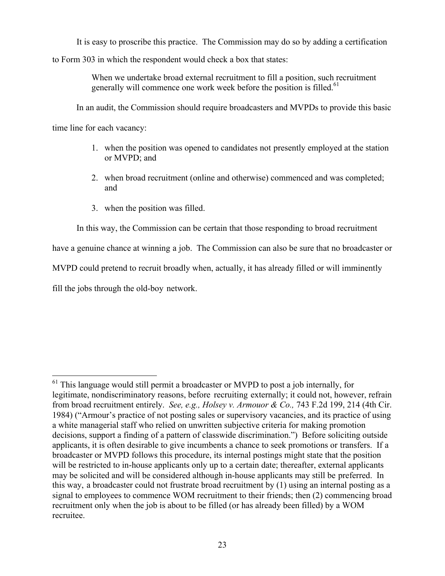It is easy to proscribe this practice. The Commission may do so by adding a certification

to Form 303 in which the respondent would check a box that states:

When we undertake broad external recruitment to fill a position, such recruitment generally will commence one work week before the position is filled.<sup>61</sup>

In an audit, the Commission should require broadcasters and MVPDs to provide this basic

time line for each vacancy:

- 1. when the position was opened to candidates not presently employed at the station or MVPD; and
- 2. when broad recruitment (online and otherwise) commenced and was completed; and
- 3. when the position was filled.

In this way, the Commission can be certain that those responding to broad recruitment

have a genuine chance at winning a job. The Commission can also be sure that no broadcaster or

MVPD could pretend to recruit broadly when, actually, it has already filled or will imminently

fill the jobs through the old-boy network.

<sup>&</sup>lt;sup>61</sup> This language would still permit a broadcaster or MVPD to post a job internally, for legitimate, nondiscriminatory reasons, before recruiting externally; it could not, however, refrain from broad recruitment entirely. *See, e.g., Holsey v. Armouor & Co.,* 743 F.2d 199, 214 (4th Cir. 1984) ("Armour's practice of not posting sales or supervisory vacancies, and its practice of using a white managerial staff who relied on unwritten subjective criteria for making promotion decisions, support a finding of a pattern of classwide discrimination.") Before soliciting outside applicants, it is often desirable to give incumbents a chance to seek promotions or transfers. If a broadcaster or MVPD follows this procedure, its internal postings might state that the position will be restricted to in-house applicants only up to a certain date; thereafter, external applicants may be solicited and will be considered although in-house applicants may still be preferred. In this way, a broadcaster could not frustrate broad recruitment by (1) using an internal posting as a signal to employees to commence WOM recruitment to their friends; then (2) commencing broad recruitment only when the job is about to be filled (or has already been filled) by a WOM recruitee.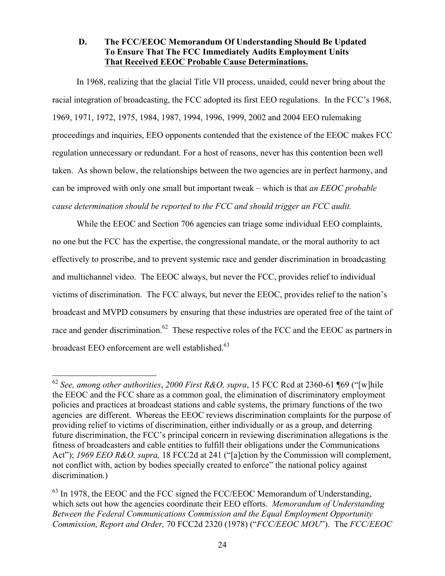#### **D. The FCC/EEOC Memorandum Of Understanding Should Be Updated To Ensure That The FCC Immediately Audits Employment Units That Received EEOC Probable Cause Determinations.**

In 1968, realizing that the glacial Title VII process, unaided, could never bring about the racial integration of broadcasting, the FCC adopted its first EEO regulations. In the FCC's 1968, 1969, 1971, 1972, 1975, 1984, 1987, 1994, 1996, 1999, 2002 and 2004 EEO rulemaking proceedings and inquiries, EEO opponents contended that the existence of the EEOC makes FCC regulation unnecessary or redundant. For a host of reasons, never has this contention been well taken. As shown below, the relationships between the two agencies are in perfect harmony, and can be improved with only one small but important tweak – which is that *an EEOC probable cause determination should be reported to the FCC and should trigger an FCC audit.*

While the EEOC and Section 706 agencies can triage some individual EEO complaints, no one but the FCC has the expertise, the congressional mandate, or the moral authority to act effectively to proscribe, and to prevent systemic race and gender discrimination in broadcasting and multichannel video. The EEOC always, but never the FCC, provides relief to individual victims of discrimination. The FCC always, but never the EEOC, provides relief to the nation's broadcast and MVPD consumers by ensuring that these industries are operated free of the taint of race and gender discrimination.<sup>62</sup> These respective roles of the FCC and the EEOC as partners in broadcast EEO enforcement are well established.<sup>63</sup>

 <sup>62</sup> *See, among other authorities*, *2000 First R&O, supra*, 15 FCC Rcd at 2360-61 ¶69 ("[w]hile the EEOC and the FCC share as a common goal, the elimination of discriminatory employment policies and practices at broadcast stations and cable systems, the primary functions of the two agencies are different. Whereas the EEOC reviews discrimination complaints for the purpose of providing relief to victims of discrimination, either individually or as a group, and deterring future discrimination, the FCC's principal concern in reviewing discrimination allegations is the fitness of broadcasters and cable entities to fulfill their obligations under the Communications Act"); *1969 EEO R&O, supra,* 18 FCC2d at 241 ("[a]ction by the Commission will complement, not conflict with, action by bodies specially created to enforce" the national policy against discrimination.)

 $^{63}$  In 1978, the EEOC and the FCC signed the FCC/EEOC Memorandum of Understanding, which sets out how the agencies coordinate their EEO efforts. *Memorandum of Understanding Between the Federal Communications Commission and the Equal Employment Opportunity Commission, Report and Order,* 70 FCC2d 2320 (1978) ("*FCC/EEOC MOU*"). The *FCC/EEOC*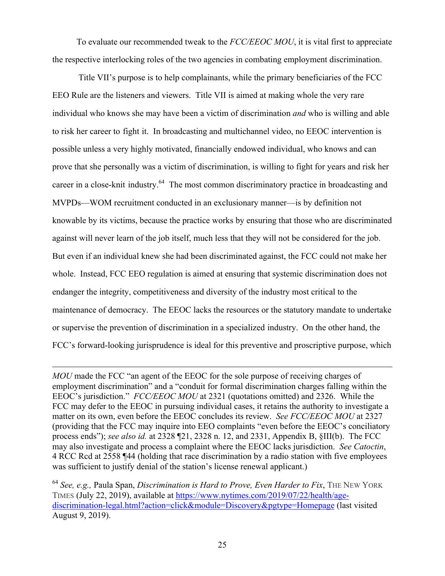To evaluate our recommended tweak to the *FCC/EEOC MOU*, it is vital first to appreciate the respective interlocking roles of the two agencies in combating employment discrimination.

Title VII's purpose is to help complainants, while the primary beneficiaries of the FCC EEO Rule are the listeners and viewers. Title VII is aimed at making whole the very rare individual who knows she may have been a victim of discrimination *and* who is willing and able to risk her career to fight it. In broadcasting and multichannel video, no EEOC intervention is possible unless a very highly motivated, financially endowed individual, who knows and can prove that she personally was a victim of discrimination, is willing to fight for years and risk her career in a close-knit industry.<sup>64</sup> The most common discriminatory practice in broadcasting and MVPDs—WOM recruitment conducted in an exclusionary manner—is by definition not knowable by its victims, because the practice works by ensuring that those who are discriminated against will never learn of the job itself, much less that they will not be considered for the job. But even if an individual knew she had been discriminated against, the FCC could not make her whole. Instead, FCC EEO regulation is aimed at ensuring that systemic discrimination does not endanger the integrity, competitiveness and diversity of the industry most critical to the maintenance of democracy. The EEOC lacks the resources or the statutory mandate to undertake or supervise the prevention of discrimination in a specialized industry. On the other hand, the FCC's forward-looking jurisprudence is ideal for this preventive and proscriptive purpose, which

*MOU* made the FCC "an agent of the EEOC for the sole purpose of receiving charges of employment discrimination" and a "conduit for formal discrimination charges falling within the EEOC's jurisdiction." *FCC/EEOC MOU* at 2321 (quotations omitted) and 2326. While the FCC may defer to the EEOC in pursuing individual cases, it retains the authority to investigate a matter on its own, even before the EEOC concludes its review. *See FCC/EEOC MOU* at 2327 (providing that the FCC may inquire into EEO complaints "even before the EEOC's conciliatory process ends"); *see also id.* at 2328 ¶21, 2328 n. 12, and 2331, Appendix B, §III(b). The FCC may also investigate and process a complaint where the EEOC lacks jurisdiction. *See Catoctin*, 4 RCC Rcd at 2558 ¶44 (holding that race discrimination by a radio station with five employees was sufficient to justify denial of the station's license renewal applicant.)

 $\overline{a}$ 

<sup>64</sup> *See, e.g.,* Paula Span, *Discrimination is Hard to Prove, Even Harder to Fix*, THE NEW YORK TIMES (July 22, 2019), available at https://www.nytimes.com/2019/07/22/health/agediscrimination-legal.html?action=click&module=Discovery&pgtype=Homepage (last visited August 9, 2019).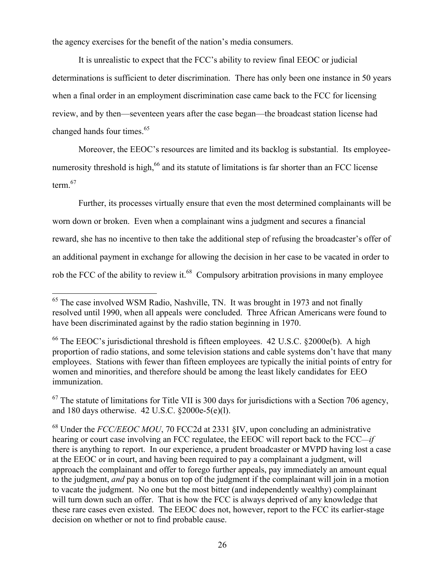the agency exercises for the benefit of the nation's media consumers.

It is unrealistic to expect that the FCC's ability to review final EEOC or judicial determinations is sufficient to deter discrimination. There has only been one instance in 50 years when a final order in an employment discrimination case came back to the FCC for licensing review, and by then—seventeen years after the case began—the broadcast station license had changed hands four times.<sup>65</sup>

Moreover, the EEOC's resources are limited and its backlog is substantial. Its employeenumerosity threshold is high,<sup>66</sup> and its statute of limitations is far shorter than an FCC license term. 67

Further, its processes virtually ensure that even the most determined complainants will be worn down or broken. Even when a complainant wins a judgment and secures a financial reward, she has no incentive to then take the additional step of refusing the broadcaster's offer of an additional payment in exchange for allowing the decision in her case to be vacated in order to rob the FCC of the ability to review it.<sup>68</sup> Compulsory arbitration provisions in many employee

 $67$  The statute of limitations for Title VII is 300 days for jurisdictions with a Section 706 agency, and 180 days otherwise. 42 U.S.C. §2000e-5(e)(l).

<sup>68</sup> Under the *FCC/EEOC MOU*, 70 FCC2d at 2331 §IV, upon concluding an administrative hearing or court case involving an FCC regulatee, the EEOC will report back to the FCC—*if*  there is anything to report. In our experience, a prudent broadcaster or MVPD having lost a case at the EEOC or in court, and having been required to pay a complainant a judgment, will approach the complainant and offer to forego further appeals, pay immediately an amount equal to the judgment, *and* pay a bonus on top of the judgment if the complainant will join in a motion to vacate the judgment. No one but the most bitter (and independently wealthy) complainant will turn down such an offer. That is how the FCC is always deprived of any knowledge that these rare cases even existed. The EEOC does not, however, report to the FCC its earlier-stage decision on whether or not to find probable cause.

<sup>&</sup>lt;sup>65</sup> The case involved WSM Radio, Nashville, TN. It was brought in 1973 and not finally resolved until 1990, when all appeals were concluded. Three African Americans were found to have been discriminated against by the radio station beginning in 1970.

 $66$  The EEOC's jurisdictional threshold is fifteen employees. 42 U.S.C. §2000e(b). A high proportion of radio stations, and some television stations and cable systems don't have that many employees. Stations with fewer than fifteen employees are typically the initial points of entry for women and minorities, and therefore should be among the least likely candidates for EEO immunization.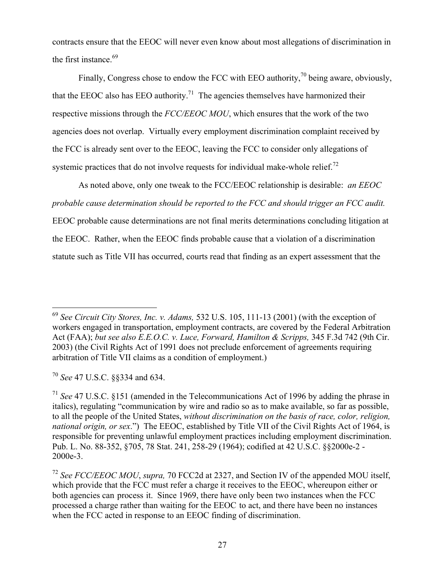contracts ensure that the EEOC will never even know about most allegations of discrimination in the first instance.<sup>69</sup>

Finally, Congress chose to endow the FCC with EEO authority,<sup>70</sup> being aware, obviously, that the EEOC also has EEO authority.<sup>71</sup> The agencies themselves have harmonized their respective missions through the *FCC/EEOC MOU*, which ensures that the work of the two agencies does not overlap. Virtually every employment discrimination complaint received by the FCC is already sent over to the EEOC, leaving the FCC to consider only allegations of systemic practices that do not involve requests for individual make-whole relief.<sup>72</sup>

As noted above, only one tweak to the FCC/EEOC relationship is desirable: *an EEOC probable cause determination should be reported to the FCC and should trigger an FCC audit.*  EEOC probable cause determinations are not final merits determinations concluding litigation at the EEOC. Rather, when the EEOC finds probable cause that a violation of a discrimination statute such as Title VII has occurred, courts read that finding as an expert assessment that the

<sup>70</sup> *See* 47 U.S.C. §§334 and 634.

 <sup>69</sup> *See Circuit City Stores, Inc. v. Adams,* 532 U.S. 105, 111-13 (2001) (with the exception of workers engaged in transportation, employment contracts, are covered by the Federal Arbitration Act (FAA); *but see also E.E.O.C. v. Luce, Forward, Hamilton & Scripps,* 345 F.3d 742 (9th Cir. 2003) (the Civil Rights Act of 1991 does not preclude enforcement of agreements requiring arbitration of Title VII claims as a condition of employment.)

<sup>71</sup> *See* 47 U.S.C. §151 (amended in the Telecommunications Act of 1996 by adding the phrase in italics), regulating "communication by wire and radio so as to make available, so far as possible, to all the people of the United States, *without discrimination on the basis of race, color, religion, national origin, or sex*.") The EEOC, established by Title VII of the Civil Rights Act of 1964, is responsible for preventing unlawful employment practices including employment discrimination. Pub. L. No. 88-352, §705, 78 Stat. 241, 258-29 (1964); codified at 42 U.S.C. §§2000e-2 - 2000e-3.

<sup>72</sup> *See FCC/EEOC MOU*, *supra,* 70 FCC2d at 2327, and Section IV of the appended MOU itself, which provide that the FCC must refer a charge it receives to the EEOC, whereupon either or both agencies can process it. Since 1969, there have only been two instances when the FCC processed a charge rather than waiting for the EEOC to act, and there have been no instances when the FCC acted in response to an EEOC finding of discrimination.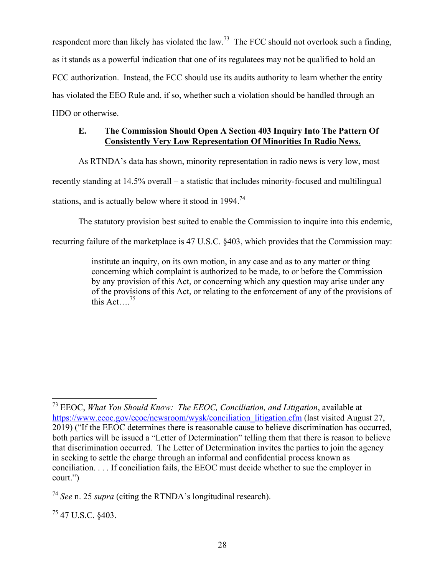respondent more than likely has violated the law.<sup>73</sup> The FCC should not overlook such a finding, as it stands as a powerful indication that one of its regulatees may not be qualified to hold an FCC authorization. Instead, the FCC should use its audits authority to learn whether the entity has violated the EEO Rule and, if so, whether such a violation should be handled through an HDO or otherwise.

### **E. The Commission Should Open A Section 403 Inquiry Into The Pattern Of Consistently Very Low Representation Of Minorities In Radio News.**

As RTNDA's data has shown, minority representation in radio news is very low, most

recently standing at 14.5% overall – a statistic that includes minority-focused and multilingual

stations, and is actually below where it stood in 1994.<sup>74</sup>

The statutory provision best suited to enable the Commission to inquire into this endemic,

recurring failure of the marketplace is 47 U.S.C. §403, which provides that the Commission may:

institute an inquiry, on its own motion, in any case and as to any matter or thing concerning which complaint is authorized to be made, to or before the Commission by any provision of this Act, or concerning which any question may arise under any of the provisions of this Act, or relating to the enforcement of any of the provisions of this Act....<sup>75</sup>

 $^{75}$  47 U.S.C. §403.

 <sup>73</sup> EEOC, *What You Should Know: The EEOC, Conciliation, and Litigation*, available at https://www.eeoc.gov/eeoc/newsroom/wysk/conciliation\_litigation.cfm (last visited August 27, 2019) ("If the EEOC determines there is reasonable cause to believe discrimination has occurred, both parties will be issued a "Letter of Determination" telling them that there is reason to believe that discrimination occurred. The Letter of Determination invites the parties to join the agency in seeking to settle the charge through an informal and confidential process known as conciliation. . . . If conciliation fails, the EEOC must decide whether to sue the employer in court.")

<sup>74</sup> *See* n. 25 *supra* (citing the RTNDA's longitudinal research).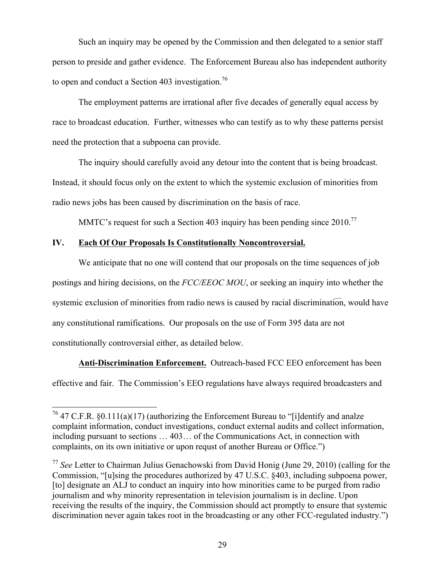Such an inquiry may be opened by the Commission and then delegated to a senior staff person to preside and gather evidence. The Enforcement Bureau also has independent authority to open and conduct a Section 403 investigation.<sup>76</sup>

The employment patterns are irrational after five decades of generally equal access by race to broadcast education. Further, witnesses who can testify as to why these patterns persist need the protection that a subpoena can provide.

The inquiry should carefully avoid any detour into the content that is being broadcast. Instead, it should focus only on the extent to which the systemic exclusion of minorities from radio news jobs has been caused by discrimination on the basis of race.

MMTC's request for such a Section 403 inquiry has been pending since  $2010$ .<sup>77</sup>

#### **IV. Each Of Our Proposals Is Constitutionally Noncontroversial.**

We anticipate that no one will contend that our proposals on the time sequences of job postings and hiring decisions, on the *FCC/EEOC MOU*, or seeking an inquiry into whether the systemic exclusion of minorities from radio news is caused by racial discrimination, would have any constitutional ramifications. Our proposals on the use of Form 395 data are not constitutionally controversial either, as detailed below.

**Anti-Discrimination Enforcement.** Outreach-based FCC EEO enforcement has been effective and fair. The Commission's EEO regulations have always required broadcasters and

<sup>&</sup>lt;sup>76</sup> 47 C.F.R.  $\&0.111(a)(17)$  (authorizing the Enforcement Bureau to "[i]dentify and analze complaint information, conduct investigations, conduct external audits and collect information, including pursuant to sections … 403… of the Communications Act, in connection with complaints, on its own initiative or upon requst of another Bureau or Office.")

<sup>77</sup> *See* Letter to Chairman Julius Genachowski from David Honig (June 29, 2010) (calling for the Commission, "[u]sing the procedures authorized by 47 U.S.C. §403, including subpoena power, [to] designate an ALJ to conduct an inquiry into how minorities came to be purged from radio iournalism and why minority representation in television journalism is in decline. Upon receiving the results of the inquiry, the Commission should act promptly to ensure that systemic discrimination never again takes root in the broadcasting or any other FCC-regulated industry.")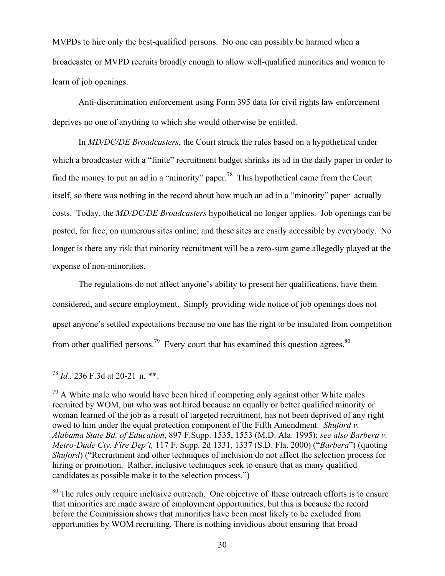MVPDs to hire only the best-qualified persons. No one can possibly be harmed when a broadcaster or MVPD recruits broadly enough to allow well-qualified minorities and women to learn of job openings.

Anti-discrimination enforcement using Form 395 data for civil rights law enforcement deprives no one of anything to which she would otherwise be entitled.

In *MD/DC/DE Broadcasters*, the Court struck the rules based on a hypothetical under which a broadcaster with a "finite" recruitment budget shrinks its ad in the daily paper in order to find the money to put an ad in a "minority" paper.<sup>78</sup> This hypothetical came from the Court itself, so there was nothing in the record about how much an ad in a "minority" paper actually costs. Today, the *MD/DC/DE Broadcasters* hypothetical no longer applies. Job openings can be posted, for free, on numerous sites online; and these sites are easily accessible by everybody. No longer is there any risk that minority recruitment will be a zero-sum game allegedly played at the expense of non-minorities.

The regulations do not affect anyone's ability to present her qualifications, have them considered, and secure employment. Simply providing wide notice of job openings does not upset anyone's settled expectations because no one has the right to be insulated from competition from other qualified persons.<sup>79</sup> Every court that has examined this question agrees.<sup>80</sup>

 <sup>78</sup> *Id.,* 236 F.3d at 20-21 n. \*\*.

 $<sup>79</sup>$  A White male who would have been hired if competing only against other White males</sup> recruited by WOM, but who was not hired because an equally or better qualified minority or woman learned of the job as a result of targeted recruitment, has not been deprived of any right owed to him under the equal protection component of the Fifth Amendment. *Shuford v. Alabama State Bd. of Education*, 897 F.Supp. 1535, 1553 (M.D. Ala. 1995); *see also Barbera v. Metro-Dade Cty. Fire Dep't,* 117 F. Supp. 2d 1331, 1337 (S.D. Fla. 2000) ("*Barbera*") (quoting *Shuford*) ("Recruitment and other techniques of inclusion do not affect the selection process for hiring or promotion. Rather, inclusive techniques seek to ensure that as many qualified candidates as possible make it to the selection process.")

<sup>&</sup>lt;sup>80</sup> The rules only require inclusive outreach. One objective of these outreach efforts is to ensure that minorities are made aware of employment opportunities, but this is because the record before the Commission shows that minorities have been most likely to be excluded from opportunities by WOM recruiting. There is nothing invidious about ensuring that broad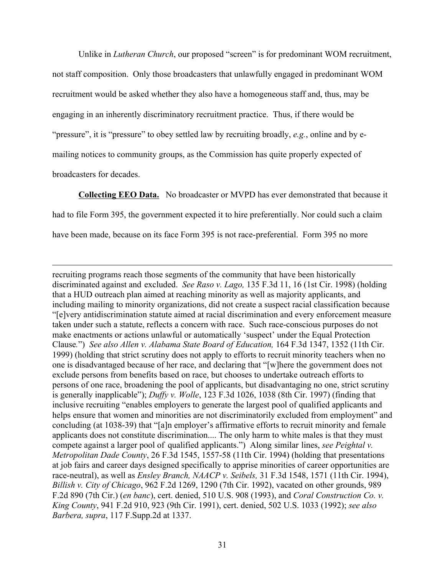Unlike in *Lutheran Church*, our proposed "screen" is for predominant WOM recruitment, not staff composition. Only those broadcasters that unlawfully engaged in predominant WOM recruitment would be asked whether they also have a homogeneous staff and, thus, may be engaging in an inherently discriminatory recruitment practice. Thus, if there would be "pressure", it is "pressure" to obey settled law by recruiting broadly, *e.g.*, online and by emailing notices to community groups, as the Commission has quite properly expected of broadcasters for decades.

**Collecting EEO Data.** No broadcaster or MVPD has ever demonstrated that because it had to file Form 395, the government expected it to hire preferentially. Nor could such a claim have been made, because on its face Form 395 is not race-preferential. Form 395 no more

 $\overline{a}$ 

recruiting programs reach those segments of the community that have been historically discriminated against and excluded. *See Raso v. Lago,* 135 F.3d 11, 16 (1st Cir. 1998) (holding that a HUD outreach plan aimed at reaching minority as well as majority applicants, and including mailing to minority organizations, did not create a suspect racial classification because "[e]very antidiscrimination statute aimed at racial discrimination and every enforcement measure taken under such a statute, reflects a concern with race. Such race-conscious purposes do not make enactments or actions unlawful or automatically 'suspect' under the Equal Protection Clause*.*") *See also Allen v. Alabama State Board of Education,* 164 F.3d 1347, 1352 (11th Cir. 1999) (holding that strict scrutiny does not apply to efforts to recruit minority teachers when no one is disadvantaged because of her race, and declaring that "[w]here the government does not exclude persons from benefits based on race, but chooses to undertake outreach efforts to persons of one race, broadening the pool of applicants, but disadvantaging no one, strict scrutiny is generally inapplicable"); *Duffy v. Wolle*, 123 F.3d 1026, 1038 (8th Cir. 1997) (finding that inclusive recruiting "enables employers to generate the largest pool of qualified applicants and helps ensure that women and minorities are not discriminatorily excluded from employment" and concluding (at 1038-39) that "[a]n employer's affirmative efforts to recruit minority and female applicants does not constitute discrimination.... The only harm to white males is that they must compete against a larger pool of qualified applicants.") Along similar lines, *see Peightal v. Metropolitan Dade County*, 26 F.3d 1545, 1557-58 (11th Cir. 1994) (holding that presentations at job fairs and career days designed specifically to apprise minorities of career opportunities are race-neutral), as well as *Ensley Branch, NAACP v. Seibels,* 31 F.3d 1548, 1571 (11th Cir. 1994), *Billish v. City of Chicago*, 962 F.2d 1269, 1290 (7th Cir. 1992), vacated on other grounds, 989 F.2d 890 (7th Cir.) (*en banc*), cert. denied, 510 U.S. 908 (1993), and *Coral Construction Co. v. King County*, 941 F.2d 910, 923 (9th Cir. 1991), cert. denied, 502 U.S. 1033 (1992); *see also Barbera, supra*, 117 F.Supp.2d at 1337.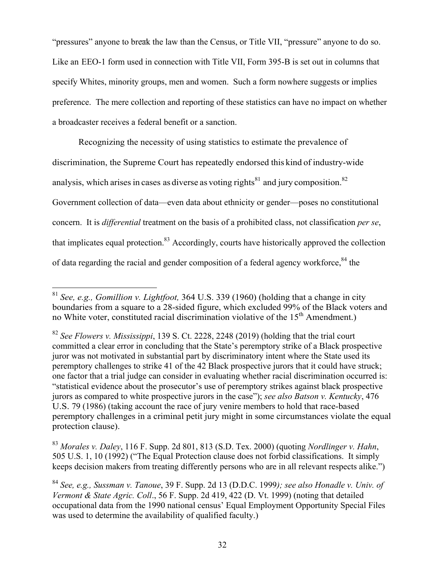"pressures" anyone to break the law than the Census, or Title VII, "pressure" anyone to do so. Like an EEO-1 form used in connection with Title VII, Form 395-B is set out in columns that specify Whites, minority groups, men and women. Such a form nowhere suggests or implies preference. The mere collection and reporting of these statistics can have no impact on whether a broadcaster receives a federal benefit or a sanction.

Recognizing the necessity of using statistics to estimate the prevalence of discrimination, the Supreme Court has repeatedly endorsed this kind of industry-wide analysis, which arises in cases as diverse as voting rights<sup>81</sup> and jury composition.<sup>82</sup> Government collection of data—even data about ethnicity or gender—poses no constitutional concern. It is *differential* treatment on the basis of a prohibited class, not classification *per se*, that implicates equal protection.<sup>83</sup> Accordingly, courts have historically approved the collection of data regarding the racial and gender composition of a federal agency workforce,<sup>84</sup> the

 <sup>81</sup> *See, e.g., Gomillion v. Lightfoot,* 364 U.S. 339 (1960) (holding that a change in city boundaries from a square to a 28-sided figure, which excluded 99% of the Black voters and no White voter, constituted racial discrimination violative of the  $15<sup>th</sup>$  Amendment.)

<sup>82</sup> *See Flowers v. Mississippi*, 139 S. Ct. 2228, 2248 (2019) (holding that the trial court committed a clear error in concluding that the State's peremptory strike of a Black prospective juror was not motivated in substantial part by discriminatory intent where the State used its peremptory challenges to strike 41 of the 42 Black prospective jurors that it could have struck; one factor that a trial judge can consider in evaluating whether racial discrimination occurred is: "statistical evidence about the prosecutor's use of peremptory strikes against black prospective jurors as compared to white prospective jurors in the case"); *see also Batson v. Kentucky*, 476 U.S. 79 (1986) (taking account the race of jury venire members to hold that race-based peremptory challenges in a criminal petit jury might in some circumstances violate the equal protection clause).

<sup>83</sup> *Morales v. Daley*, 116 F. Supp. 2d 801, 813 (S.D. Tex. 2000) (quoting *Nordlinger v. Hahn*, 505 U.S. 1, 10 (1992) ("The Equal Protection clause does not forbid classifications. It simply keeps decision makers from treating differently persons who are in all relevant respects alike.")

<sup>84</sup> *See, e.g., Sussman v. Tanoue*, 39 F. Supp. 2d 13 (D.D.C. 1999*); see also Honadle v. Univ. of Vermont & State Agric. Coll*., 56 F. Supp. 2d 419, 422 (D. Vt. 1999) (noting that detailed occupational data from the 1990 national census' Equal Employment Opportunity Special Files was used to determine the availability of qualified faculty.)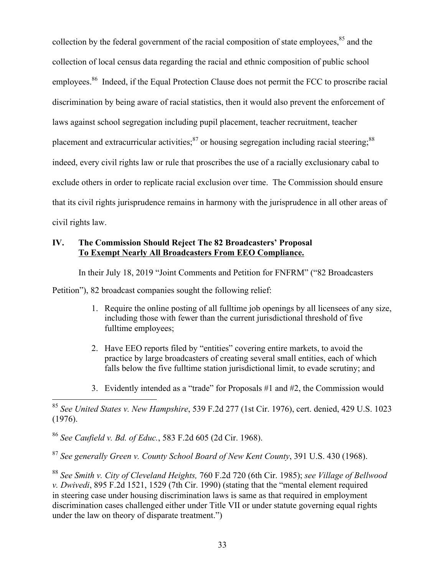collection by the federal government of the racial composition of state employees,<sup>85</sup> and the collection of local census data regarding the racial and ethnic composition of public school employees.<sup>86</sup> Indeed, if the Equal Protection Clause does not permit the FCC to proscribe racial discrimination by being aware of racial statistics, then it would also prevent the enforcement of laws against school segregation including pupil placement, teacher recruitment, teacher placement and extracurricular activities;  $87$  or housing segregation including racial steering;  $88$ indeed, every civil rights law or rule that proscribes the use of a racially exclusionary cabal to exclude others in order to replicate racial exclusion over time. The Commission should ensure that its civil rights jurisprudence remains in harmony with the jurisprudence in all other areas of civil rights law.

#### **IV. The Commission Should Reject The 82 Broadcasters' Proposal To Exempt Nearly All Broadcasters From EEO Compliance.**

In their July 18, 2019 "Joint Comments and Petition for FNFRM" ("82 Broadcasters

Petition"), 82 broadcast companies sought the following relief:

- 1. Require the online posting of all fulltime job openings by all licensees of any size, including those with fewer than the current jurisdictional threshold of five fulltime employees;
- 2. Have EEO reports filed by "entities" covering entire markets, to avoid the practice by large broadcasters of creating several small entities, each of which falls below the five fulltime station jurisdictional limit, to evade scrutiny; and
- 3. Evidently intended as a "trade" for Proposals #1 and #2, the Commission would

<sup>86</sup> *See Caufield v. Bd. of Educ.*, 583 F.2d 605 (2d Cir. 1968).

<sup>87</sup> *See generally Green v. County School Board of New Kent County*, 391 U.S. 430 (1968).

<sup>88</sup> *See Smith v. City of Cleveland Heights,* 760 F.2d 720 (6th Cir. 1985); *see Village of Bellwood v. Dwivedi*, 895 F.2d 1521, 1529 (7th Cir. 1990) (stating that the "mental element required in steering case under housing discrimination laws is same as that required in employment discrimination cases challenged either under Title VII or under statute governing equal rights under the law on theory of disparate treatment.")

 <sup>85</sup> *See United States v. New Hampshire*, 539 F.2d 277 (1st Cir. 1976), cert. denied, 429 U.S. 1023 (1976).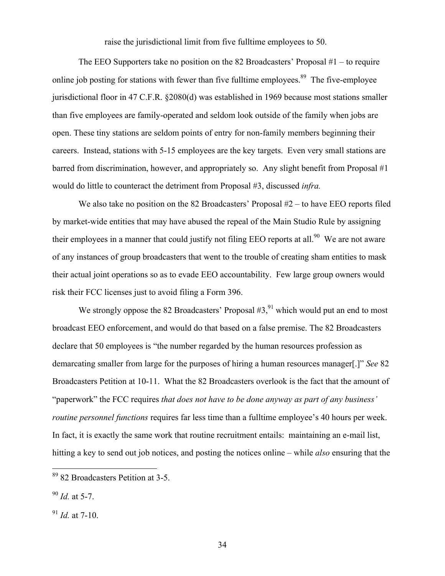raise the jurisdictional limit from five fulltime employees to 50.

The EEO Supporters take no position on the 82 Broadcasters' Proposal  $#1 -$  to require online job posting for stations with fewer than five fulltime employees.<sup>89</sup> The five-employee jurisdictional floor in 47 C.F.R. §2080(d) was established in 1969 because most stations smaller than five employees are family-operated and seldom look outside of the family when jobs are open. These tiny stations are seldom points of entry for non-family members beginning their careers. Instead, stations with 5-15 employees are the key targets. Even very small stations are barred from discrimination, however, and appropriately so. Any slight benefit from Proposal #1 would do little to counteract the detriment from Proposal #3, discussed *infra.*

We also take no position on the 82 Broadcasters' Proposal #2 – to have EEO reports filed by market-wide entities that may have abused the repeal of the Main Studio Rule by assigning their employees in a manner that could justify not filing EEO reports at all.<sup>90</sup> We are not aware of any instances of group broadcasters that went to the trouble of creating sham entities to mask their actual joint operations so as to evade EEO accountability. Few large group owners would risk their FCC licenses just to avoid filing a Form 396.

We strongly oppose the 82 Broadcasters' Proposal  $#3$ ,  $^{91}$  which would put an end to most broadcast EEO enforcement, and would do that based on a false premise. The 82 Broadcasters declare that 50 employees is "the number regarded by the human resources profession as demarcating smaller from large for the purposes of hiring a human resources manager[.]" *See* 82 Broadcasters Petition at 10-11. What the 82 Broadcasters overlook is the fact that the amount of "paperwork" the FCC requires *that does not have to be done anyway as part of any business' routine personnel functions* requires far less time than a fulltime employee's 40 hours per week. In fact, it is exactly the same work that routine recruitment entails: maintaining an e-mail list, hitting a key to send out job notices, and posting the notices online – while *also* ensuring that the

 <sup>89</sup> 82 Broadcasters Petition at 3-5.

<sup>90</sup> *Id.* at 5-7.

<sup>91</sup> *Id.* at 7-10.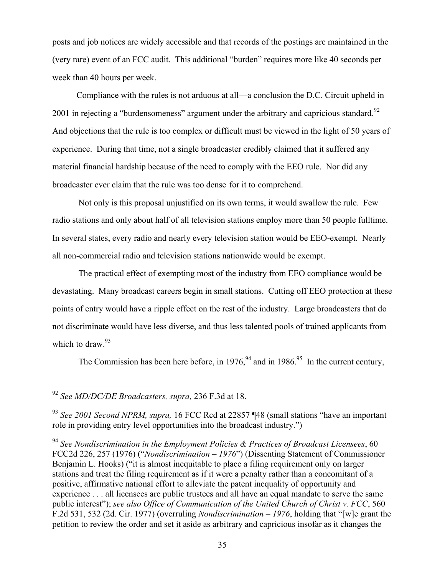posts and job notices are widely accessible and that records of the postings are maintained in the (very rare) event of an FCC audit. This additional "burden" requires more like 40 seconds per week than 40 hours per week.

Compliance with the rules is not arduous at all—a conclusion the D.C. Circuit upheld in 2001 in rejecting a "burdensomeness" argument under the arbitrary and capricious standard. <sup>92</sup> And objections that the rule is too complex or difficult must be viewed in the light of 50 years of experience. During that time, not a single broadcaster credibly claimed that it suffered any material financial hardship because of the need to comply with the EEO rule. Nor did any broadcaster ever claim that the rule was too dense for it to comprehend.

Not only is this proposal unjustified on its own terms, it would swallow the rule. Few radio stations and only about half of all television stations employ more than 50 people fulltime. In several states, every radio and nearly every television station would be EEO-exempt. Nearly all non-commercial radio and television stations nationwide would be exempt.

The practical effect of exempting most of the industry from EEO compliance would be devastating. Many broadcast careers begin in small stations. Cutting off EEO protection at these points of entry would have a ripple effect on the rest of the industry. Large broadcasters that do not discriminate would have less diverse, and thus less talented pools of trained applicants from which to draw.  $93$ 

The Commission has been here before, in 1976,  $94$  and in 1986. In the current century,

 <sup>92</sup> *See MD/DC/DE Broadcasters, supra,* 236 F.3d at 18.

<sup>93</sup> *See 2001 Second NPRM, supra,* 16 FCC Rcd at 22857 ¶48 (small stations "have an important role in providing entry level opportunities into the broadcast industry.")

<sup>94</sup> *See Nondiscrimination in the Employment Policies & Practices of Broadcast Licensees*, 60 FCC2d 226, 257 (1976) ("*Nondiscrimination – 1976*") (Dissenting Statement of Commissioner Benjamin L. Hooks) ("it is almost inequitable to place a filing requirement only on larger stations and treat the filing requirement as if it were a penalty rather than a concomitant of a positive, affirmative national effort to alleviate the patent inequality of opportunity and experience . . . all licensees are public trustees and all have an equal mandate to serve the same public interest"); *see also Office of Communication of the United Church of Christ v. FCC*, 560 F.2d 531, 532 (2d. Cir. 1977) (overruling *Nondiscrimination – 1976*, holding that "[w]e grant the petition to review the order and set it aside as arbitrary and capricious insofar as it changes the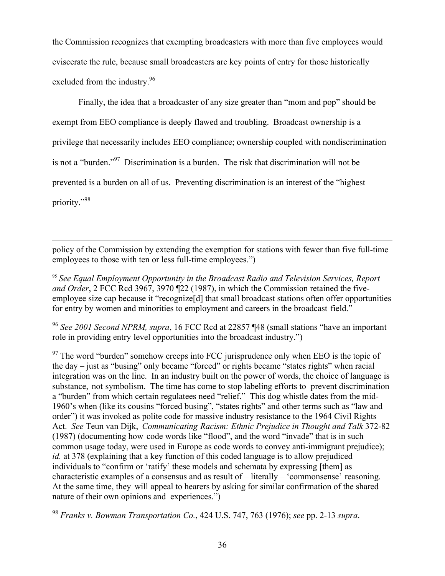the Commission recognizes that exempting broadcasters with more than five employees would eviscerate the rule, because small broadcasters are key points of entry for those historically excluded from the industry.<sup>96</sup>

Finally, the idea that a broadcaster of any size greater than "mom and pop" should be exempt from EEO compliance is deeply flawed and troubling. Broadcast ownership is a privilege that necessarily includes EEO compliance; ownership coupled with nondiscrimination is not a "burden." 97 Discrimination is a burden. The risk that discrimination will not be prevented is a burden on all of us. Preventing discrimination is an interest of the "highest priority."<sup>98</sup>

policy of the Commission by extending the exemption for stations with fewer than five full-time employees to those with ten or less full-time employees.")

 $\overline{a}$ 

<sup>95</sup> *See Equal Employment Opportunity in the Broadcast Radio and Television Services, Report and Order*, 2 FCC Rcd 3967, 3970 ¶22 (1987), in which the Commission retained the fiveemployee size cap because it "recognize[d] that small broadcast stations often offer opportunities for entry by women and minorities to employment and careers in the broadcast field."

<sup>96</sup> *See 2001 Second NPRM, supra*, 16 FCC Rcd at 22857 ¶48 (small stations "have an important role in providing entry level opportunities into the broadcast industry.")

 $97$  The word "burden" somehow creeps into FCC jurisprudence only when EEO is the topic of the day – just as "busing" only became "forced" or rights became "states rights" when racial integration was on the line. In an industry built on the power of words, the choice of language is substance, not symbolism. The time has come to stop labeling efforts to prevent discrimination a "burden" from which certain regulatees need "relief." This dog whistle dates from the mid-1960's when (like its cousins "forced busing", "states rights" and other terms such as "law and order") it was invoked as polite code for massive industry resistance to the 1964 Civil Rights Act. *See* Teun van Dijk, *Communicating Racism: Ethnic Prejudice in Thought and Talk* 372-82 (1987) (documenting how code words like "flood", and the word "invade" that is in such common usage today, were used in Europe as code words to convey anti-immigrant prejudice); *id.* at 378 (explaining that a key function of this coded language is to allow prejudiced individuals to "confirm or 'ratify' these models and schemata by expressing [them] as characteristic examples of a consensus and as result of – literally – 'commonsense' reasoning. At the same time, they will appeal to hearers by asking for similar confirmation of the shared nature of their own opinions and experiences.")

<sup>98</sup> *Franks v. Bowman Transportation Co.*, 424 U.S. 747, 763 (1976); *see* pp. 2-13 *supra*.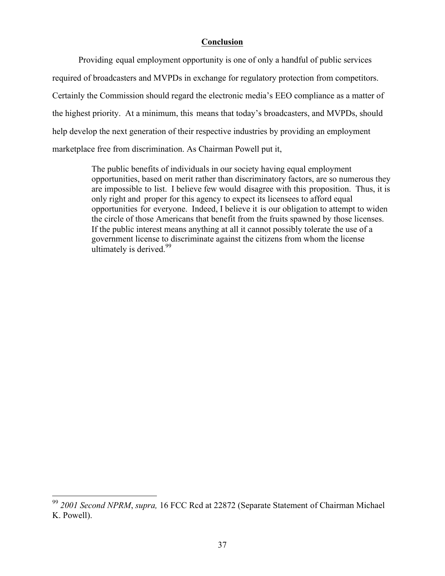#### **Conclusion**

Providing equal employment opportunity is one of only a handful of public services required of broadcasters and MVPDs in exchange for regulatory protection from competitors. Certainly the Commission should regard the electronic media's EEO compliance as a matter of the highest priority. At a minimum, this means that today's broadcasters, and MVPDs, should help develop the next generation of their respective industries by providing an employment marketplace free from discrimination. As Chairman Powell put it,

> The public benefits of individuals in our society having equal employment opportunities, based on merit rather than discriminatory factors, are so numerous they are impossible to list. I believe few would disagree with this proposition. Thus, it is only right and proper for this agency to expect its licensees to afford equal opportunities for everyone. Indeed, I believe it is our obligation to attempt to widen the circle of those Americans that benefit from the fruits spawned by those licenses. If the public interest means anything at all it cannot possibly tolerate the use of a government license to discriminate against the citizens from whom the license ultimately is derived.  $99<sup>99</sup>$

 <sup>99</sup> *2001 Second NPRM*, *supra,* 16 FCC Rcd at 22872 (Separate Statement of Chairman Michael K. Powell).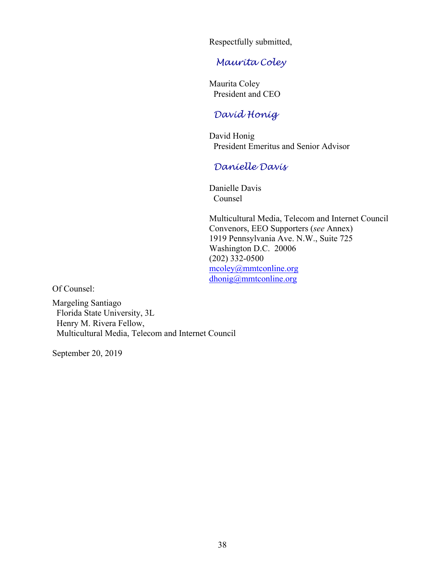Respectfully submitted,

# *Maurita Coley*

Maurita Coley President and CEO

# *David Honig*

David Honig President Emeritus and Senior Advisor

# *Danielle Davis*

Danielle Davis Counsel

Multicultural Media, Telecom and Internet Council Convenors, EEO Supporters (*see* Annex) 1919 Pennsylvania Ave. N.W., Suite 725 Washington D.C. 20006 (202) 332-0500 mcoley@mmtconline.org dhonig@mmtconline.org

Of Counsel:

Margeling Santiago Florida State University, 3L Henry M. Rivera Fellow, Multicultural Media, Telecom and Internet Council

September 20, 2019